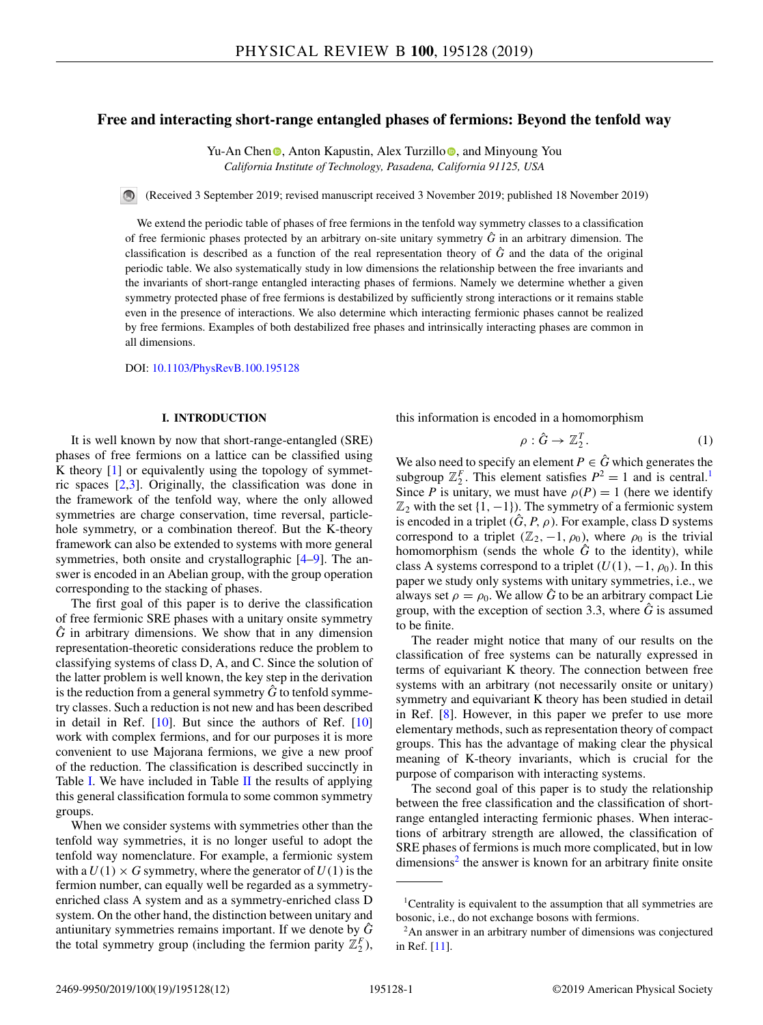# **Free and interacting short-range entangled phases of fermions: Beyond the tenfold way**

Yu-An Chen **.** Anton Kapustin[,](https://orcid.org/0000-0003-4293-4293) Alex Turzillo **.** and Minyoung You *California Institute of Technology, Pasadena, California 91125, USA*

(Received 3 September 2019; revised manuscript received 3 November 2019; published 18 November 2019)

We extend the periodic table of phases of free fermions in the tenfold way symmetry classes to a classification of free fermionic phases protected by an arbitrary on-site unitary symmetry  $\hat{G}$  in an arbitrary dimension. The classification is described as a function of the real representation theory of  $\hat{G}$  and the data of the original periodic table. We also systematically study in low dimensions the relationship between the free invariants and the invariants of short-range entangled interacting phases of fermions. Namely we determine whether a given symmetry protected phase of free fermions is destabilized by sufficiently strong interactions or it remains stable even in the presence of interactions. We also determine which interacting fermionic phases cannot be realized by free fermions. Examples of both destabilized free phases and intrinsically interacting phases are common in all dimensions.

DOI: [10.1103/PhysRevB.100.195128](https://doi.org/10.1103/PhysRevB.100.195128)

### **I. INTRODUCTION**

It is well known by now that short-range-entangled (SRE) phases of free fermions on a lattice can be classified using K theory [\[1\]](#page-10-0) or equivalently using the topology of symmetric spaces [\[2,3\]](#page-10-0). Originally, the classification was done in the framework of the tenfold way, where the only allowed symmetries are charge conservation, time reversal, particlehole symmetry, or a combination thereof. But the K-theory framework can also be extended to systems with more general symmetries, both onsite and crystallographic [\[4–9\]](#page-10-0). The answer is encoded in an Abelian group, with the group operation corresponding to the stacking of phases.

The first goal of this paper is to derive the classification of free fermionic SRE phases with a unitary onsite symmetry  $\hat{G}$  in arbitrary dimensions. We show that in any dimension representation-theoretic considerations reduce the problem to classifying systems of class D, A, and C. Since the solution of the latter problem is well known, the key step in the derivation is the reduction from a general symmetry  $\tilde{G}$  to tenfold symmetry classes. Such a reduction is not new and has been described in detail in Ref. [\[10\]](#page-10-0). But since the authors of Ref. [\[10\]](#page-10-0) work with complex fermions, and for our purposes it is more convenient to use Majorana fermions, we give a new proof of the reduction. The classification is described succinctly in Table [I.](#page-1-0) We have included in Table [II](#page-1-0) the results of applying this general classification formula to some common symmetry groups.

When we consider systems with symmetries other than the tenfold way symmetries, it is no longer useful to adopt the tenfold way nomenclature. For example, a fermionic system with a  $U(1) \times G$  symmetry, where the generator of  $U(1)$  is the fermion number, can equally well be regarded as a symmetryenriched class A system and as a symmetry-enriched class D system. On the other hand, the distinction between unitary and antiunitary symmetries remains important. If we denote by  $\tilde{G}$ the total symmetry group (including the fermion parity  $\mathbb{Z}_2^F$ ), this information is encoded in a homomorphism

$$
\rho: \hat{G} \to \mathbb{Z}_2^T. \tag{1}
$$

We also need to specify an element  $P \in \hat{G}$  which generates the subgroup  $\mathbb{Z}_2^F$ . This element satisfies  $P^2 = 1$  and is central.<sup>1</sup> Since *P* is unitary, we must have  $\rho(P) = 1$  (here we identify  $\mathbb{Z}_2$  with the set  $\{1, -1\}$ ). The symmetry of a fermionic system is encoded in a triplet  $(\hat{G}, P, \rho)$ . For example, class D systems correspond to a triplet ( $\mathbb{Z}_2$ , -1,  $\rho_0$ ), where  $\rho_0$  is the trivial homomorphism (sends the whole  $\hat{G}$  to the identity), while class A systems correspond to a triplet  $(U(1), -1, \rho_0)$ . In this paper we study only systems with unitary symmetries, i.e., we always set  $\rho = \rho_0$ . We allow  $\hat{G}$  to be an arbitrary compact Lie group, with the exception of section 3.3, where  $\hat{G}$  is assumed to be finite.

The reader might notice that many of our results on the classification of free systems can be naturally expressed in terms of equivariant K theory. The connection between free systems with an arbitrary (not necessarily onsite or unitary) symmetry and equivariant K theory has been studied in detail in Ref. [\[8\]](#page-10-0). However, in this paper we prefer to use more elementary methods, such as representation theory of compact groups. This has the advantage of making clear the physical meaning of K-theory invariants, which is crucial for the purpose of comparison with interacting systems.

The second goal of this paper is to study the relationship between the free classification and the classification of shortrange entangled interacting fermionic phases. When interactions of arbitrary strength are allowed, the classification of SRE phases of fermions is much more complicated, but in low  $dimensions<sup>2</sup>$  the answer is known for an arbitrary finite onsite

<sup>&</sup>lt;sup>1</sup>Centrality is equivalent to the assumption that all symmetries are bosonic, i.e., do not exchange bosons with fermions.

<sup>2</sup>An answer in an arbitrary number of dimensions was conjectured in Ref. [\[11\]](#page-10-0).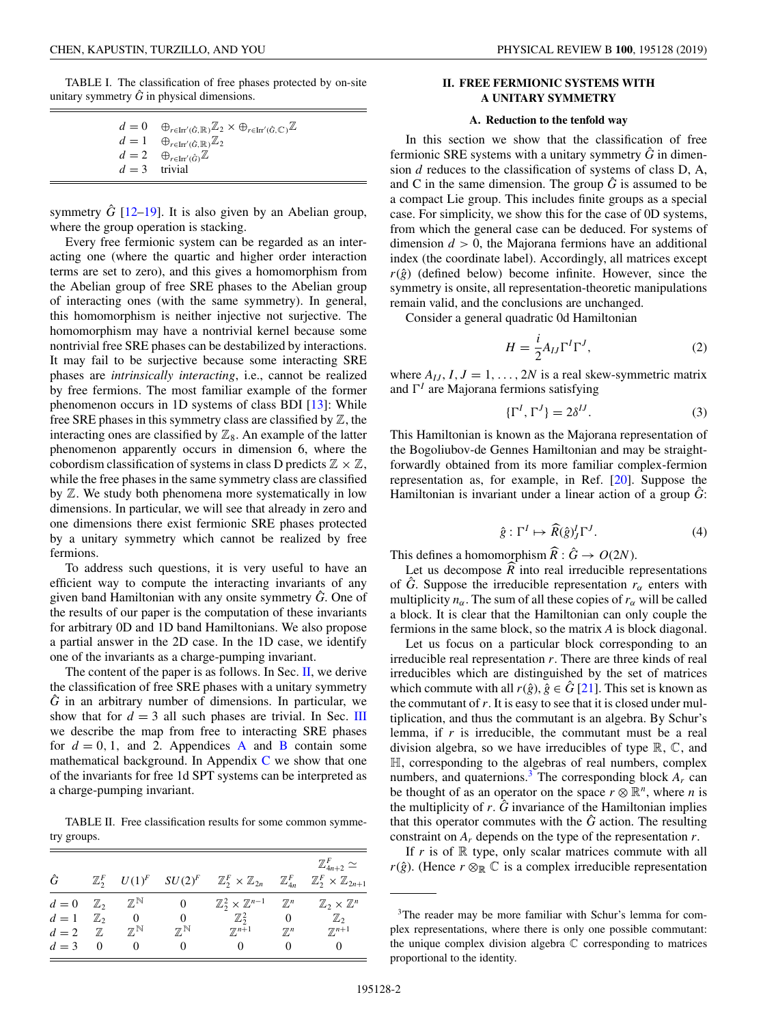<span id="page-1-0"></span>TABLE I. The classification of free phases protected by on-site unitary symmetry  $\hat{G}$  in physical dimensions.

|               | $d=0$ $\oplus_{r\in\text{Irr}^{\prime}(\hat{G},\mathbb{R})}\mathbb{Z}_2\times\oplus_{r\in\text{Irr}^{\prime}(\hat{G},\mathbb{C})}\mathbb{Z}$ |
|---------------|----------------------------------------------------------------------------------------------------------------------------------------------|
|               | $d=1$ $\oplus_{r\in\text{Irr}^\prime(\hat{G},\mathbb{R})}\mathbb{Z}_2$                                                                       |
|               | $d=2\quad \oplus_{r\in \text{Irr}^{\prime}(\hat{G})}\mathbb{Z}$                                                                              |
| $d=3$ trivial |                                                                                                                                              |

symmetry  $\hat{G}$  [\[12–19\]](#page-10-0). It is also given by an Abelian group, where the group operation is stacking.

Every free fermionic system can be regarded as an interacting one (where the quartic and higher order interaction terms are set to zero), and this gives a homomorphism from the Abelian group of free SRE phases to the Abelian group of interacting ones (with the same symmetry). In general, this homomorphism is neither injective not surjective. The homomorphism may have a nontrivial kernel because some nontrivial free SRE phases can be destabilized by interactions. It may fail to be surjective because some interacting SRE phases are *intrinsically interacting*, i.e., cannot be realized by free fermions. The most familiar example of the former phenomenon occurs in 1D systems of class BDI [\[13\]](#page-10-0): While free SRE phases in this symmetry class are classified by  $\mathbb{Z}$ , the interacting ones are classified by  $\mathbb{Z}_8$ . An example of the latter phenomenon apparently occurs in dimension 6, where the cobordism classification of systems in class D predicts  $\mathbb{Z} \times \mathbb{Z}$ , while the free phases in the same symmetry class are classified by Z. We study both phenomena more systematically in low dimensions. In particular, we will see that already in zero and one dimensions there exist fermionic SRE phases protected by a unitary symmetry which cannot be realized by free fermions.

To address such questions, it is very useful to have an efficient way to compute the interacting invariants of any given band Hamiltonian with any onsite symmetry *G*ˆ. One of the results of our paper is the computation of these invariants for arbitrary 0D and 1D band Hamiltonians. We also propose a partial answer in the 2D case. In the 1D case, we identify one of the invariants as a charge-pumping invariant.

The content of the paper is as follows. In Sec.  $II$ , we derive the classification of free SRE phases with a unitary symmetry  $\hat{G}$  in an arbitrary number of dimensions. In particular, we show that for  $d = 3$  all such phases are trivial. In Sec. [III](#page-3-0) we describe the map from free to interacting SRE phases for  $d = 0, 1$ , and 2. [A](#page-7-0)ppendices A and [B](#page-8-0) contain some mathematical background. In Appendix  $C$  we show that one of the invariants for free 1d SPT systems can be interpreted as a charge-pumping invariant.

TABLE II. Free classification results for some common symmetry groups.

|                      |          |                           |                           |                                                                             |                     | $\mathbb{Z}_{4n+2}^F \simeq$            |
|----------------------|----------|---------------------------|---------------------------|-----------------------------------------------------------------------------|---------------------|-----------------------------------------|
| Ĝ                    |          |                           |                           | $\mathbb{Z}_2^F$ $U(1)^F$ $SU(2)^F$ $\mathbb{Z}_2^F \times \mathbb{Z}_{2n}$ | $\mathbb{Z}_{4n}^F$ | $\mathbb{Z}_2^F\times\mathbb{Z}_{2n+1}$ |
| $d=0$ $\mathbb{Z}_2$ |          | $\mathbb{Z}^{\mathbb{N}}$ | 0                         | $\mathbb{Z}_2^2\times \mathbb{Z}^{n-1}$                                     | $\mathbb{Z}^n$      | $\mathbb{Z}_2\times\mathbb{Z}^n$        |
| $d=1$ $\mathbb{Z}_2$ |          | 0                         | 0                         | $\mathbb{Z}_2^2$                                                            | 0                   | $\mathbb{Z}_2$                          |
| $d=2$                | Z        | $\mathbb{Z}^{\mathbb{N}}$ | $\mathbb{Z}^{\mathbb{N}}$ | $\mathbb{Z}^{n+1}$                                                          | $\mathbb{Z}^n$      | $\mathbb{Z}^{n+1}$                      |
| $d=3$                | $\Omega$ |                           |                           |                                                                             | $_{0}$              |                                         |

# **II. FREE FERMIONIC SYSTEMS WITH A UNITARY SYMMETRY**

## **A. Reduction to the tenfold way**

In this section we show that the classification of free fermionic SRE systems with a unitary symmetry  $\hat{G}$  in dimension *d* reduces to the classification of systems of class D, A, and C in the same dimension. The group  $\hat{G}$  is assumed to be a compact Lie group. This includes finite groups as a special case. For simplicity, we show this for the case of 0D systems, from which the general case can be deduced. For systems of dimension  $d > 0$ , the Majorana fermions have an additional index (the coordinate label). Accordingly, all matrices except  $r(\hat{g})$  (defined below) become infinite. However, since the symmetry is onsite, all representation-theoretic manipulations remain valid, and the conclusions are unchanged.

Consider a general quadratic 0d Hamiltonian

$$
H = \frac{i}{2} A_{IJ} \Gamma^I \Gamma^J,\tag{2}
$$

where  $A_{IJ}$ ,  $I, J = 1, \ldots, 2N$  is a real skew-symmetric matrix and  $\Gamma^{\prime}$  are Majorana fermions satisfying

$$
\{\Gamma^I, \Gamma^J\} = 2\delta^{IJ}.\tag{3}
$$

This Hamiltonian is known as the Majorana representation of the Bogoliubov-de Gennes Hamiltonian and may be straightforwardly obtained from its more familiar complex-fermion representation as, for example, in Ref. [\[20\]](#page-10-0). Suppose the Hamiltonian is invariant under a linear action of a group *G*:

$$
\hat{g}: \Gamma^I \mapsto \widehat{R}(\hat{g})_J^I \Gamma^J. \tag{4}
$$

This defines a homomorphism  $\widehat{R}$  :  $\widehat{G} \to O(2N)$ .

Let us decompose  $R$  into real irreducible representations of  $\hat{G}$ . Suppose the irreducible representation  $r_{\alpha}$  enters with multiplicity  $n_\alpha$ . The sum of all these copies of  $r_\alpha$  will be called a block. It is clear that the Hamiltonian can only couple the fermions in the same block, so the matrix *A* is block diagonal.

Let us focus on a particular block corresponding to an irreducible real representation *r*. There are three kinds of real irreducibles which are distinguished by the set of matrices which commute with all  $r(\hat{g})$ ,  $\hat{g} \in \hat{G}$  [\[21\]](#page-10-0). This set is known as the commutant of *r*. It is easy to see that it is closed under multiplication, and thus the commutant is an algebra. By Schur's lemma, if *r* is irreducible, the commutant must be a real division algebra, so we have irreducibles of type  $\mathbb{R}, \mathbb{C}$ , and H, corresponding to the algebras of real numbers, complex numbers, and quaternions.<sup>3</sup> The corresponding block  $A_r$  can be thought of as an operator on the space  $r \otimes \mathbb{R}^n$ , where *n* is the multiplicity of  $r$ .  $\hat{G}$  invariance of the Hamiltonian implies that this operator commutes with the *G*ˆ action. The resulting constraint on *Ar* depends on the type of the representation *r*.

If  $r$  is of  $\mathbb R$  type, only scalar matrices commute with all *r*( $\hat{g}$ ). (Hence *r*  $\otimes_{\mathbb{R}} \mathbb{C}$  is a complex irreducible representation

<sup>&</sup>lt;sup>3</sup>The reader may be more familiar with Schur's lemma for complex representations, where there is only one possible commutant: the unique complex division algebra  $\mathbb C$  corresponding to matrices proportional to the identity.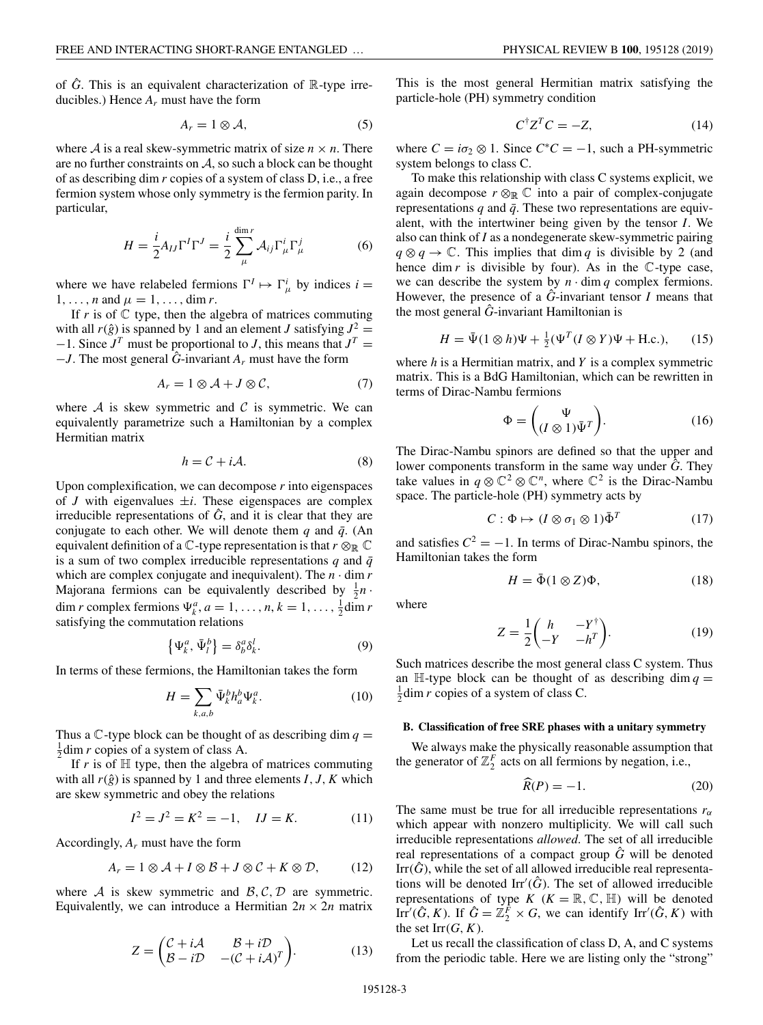<span id="page-2-0"></span>of  $\hat{G}$ . This is an equivalent characterization of  $\mathbb{R}$ -type irreducibles.) Hence *Ar* must have the form

$$
A_r = 1 \otimes \mathcal{A},\tag{5}
$$

where  $A$  is a real skew-symmetric matrix of size  $n \times n$ . There are no further constraints on  $A$ , so such a block can be thought of as describing dim *r* copies of a system of class D, i.e., a free fermion system whose only symmetry is the fermion parity. In particular,

$$
H = \frac{i}{2} A_{IJ} \Gamma^I \Gamma^J = \frac{i}{2} \sum_{\mu}^{\dim r} A_{ij} \Gamma^i_{\mu} \Gamma^j_{\mu}
$$
 (6)

where we have relabeled fermions  $\Gamma^I \mapsto \Gamma^i_\mu$  by indices  $i =$  $1, \ldots, n$  and  $\mu = 1, \ldots, \dim r$ .

If  $r$  is of  $\mathbb C$  type, then the algebra of matrices commuting with all  $r(\hat{g})$  is spanned by 1 and an element *J* satisfying  $J^2 =$  $-1$ . Since  $J<sup>T</sup>$  must be proportional to *J*, this means that  $J<sup>T</sup>$  = −*J*. The most general *G*ˆ-invariant *Ar* must have the form

$$
A_r = 1 \otimes A + J \otimes C, \tag{7}
$$

where  $A$  is skew symmetric and  $C$  is symmetric. We can equivalently parametrize such a Hamiltonian by a complex Hermitian matrix

$$
h = C + iA.
$$
 (8)

Upon complexification, we can decompose *r* into eigenspaces of *J* with eigenvalues  $\pm i$ . These eigenspaces are complex irreducible representations of  $\hat{G}$ , and it is clear that they are conjugate to each other. We will denote them  $q$  and  $\bar{q}$ . (An equivalent definition of a  $\mathbb C$ -type representation is that  $r \otimes_{\mathbb R} \mathbb C$ is a sum of two complex irreducible representations  $q$  and  $\bar{q}$ which are complex conjugate and inequivalent). The  $n \cdot \dim r$ Majorana fermions can be equivalently described by  $\frac{1}{2}n \cdot$ dim *r* complex fermions  $\Psi_k^a$ ,  $a = 1, ..., n, k = 1, ..., \frac{1}{2}$ dim *r* satisfying the commutation relations

$$
\left\{\Psi_k^a, \bar{\Psi}_l^b\right\} = \delta_b^a \delta_k^l. \tag{9}
$$

In terms of these fermions, the Hamiltonian takes the form

$$
H = \sum_{k,a,b} \bar{\Psi}_k^b h_a^b \Psi_k^a.
$$
 (10)

Thus a  $\mathbb C$ -type block can be thought of as describing dim  $q =$  $\frac{1}{2}$ dim *r* copies of a system of class A.

If  $r$  is of  $\mathbb H$  type, then the algebra of matrices commuting with all  $r(\hat{g})$  is spanned by 1 and three elements *I*, *J*, *K* which are skew symmetric and obey the relations

$$
I^2 = J^2 = K^2 = -1, \quad IJ = K. \tag{11}
$$

Accordingly, *Ar* must have the form

$$
A_r = 1 \otimes A + I \otimes B + J \otimes C + K \otimes D, \qquad (12)
$$

where  $A$  is skew symmetric and  $B, C, D$  are symmetric. Equivalently, we can introduce a Hermitian  $2n \times 2n$  matrix

$$
Z = \begin{pmatrix} C + iA & B + iD \\ B - iD & -(C + iA)^{T} \end{pmatrix}.
$$
 (13)

This is the most general Hermitian matrix satisfying the particle-hole (PH) symmetry condition

$$
C^{\dagger}Z^{T}C = -Z,\tag{14}
$$

where  $C = i\sigma_2 \otimes 1$ . Since  $C^*C = -1$ , such a PH-symmetric system belongs to class C.

To make this relationship with class C systems explicit, we again decompose  $r \otimes_{\mathbb{R}} \mathbb{C}$  into a pair of complex-conjugate representations  $q$  and  $\bar{q}$ . These two representations are equivalent, with the intertwiner being given by the tensor *I*. We also can think of *I* as a nondegenerate skew-symmetric pairing  $q \otimes q \rightarrow \mathbb{C}$ . This implies that dim *q* is divisible by 2 (and hence dim  $r$  is divisible by four). As in the  $\mathbb{C}$ -type case, we can describe the system by  $n \cdot \dim q$  complex fermions. However, the presence of a *G*ˆ-invariant tensor *I* means that the most general *G*ˆ-invariant Hamiltonian is

$$
H = \bar{\Psi}(1 \otimes h)\Psi + \frac{1}{2}(\Psi^T(I \otimes Y)\Psi + \text{H.c.}),\qquad(15)
$$

where *h* is a Hermitian matrix, and *Y* is a complex symmetric matrix. This is a BdG Hamiltonian, which can be rewritten in terms of Dirac-Nambu fermions

$$
\Phi = \begin{pmatrix} \Psi \\ (I \otimes 1)\bar{\Psi}^T \end{pmatrix} . \tag{16}
$$

The Dirac-Nambu spinors are defined so that the upper and lower components transform in the same way under *G*ˆ. They take values in  $q \otimes \mathbb{C}^2 \otimes \mathbb{C}^n$ , where  $\mathbb{C}^2$  is the Dirac-Nambu space. The particle-hole (PH) symmetry acts by

$$
C: \Phi \mapsto (I \otimes \sigma_1 \otimes 1)\bar{\Phi}^T \tag{17}
$$

and satisfies  $C^2 = -1$ . In terms of Dirac-Nambu spinors, the Hamiltonian takes the form

$$
H = \bar{\Phi}(1 \otimes Z)\Phi, \tag{18}
$$

where

$$
Z = \frac{1}{2} \begin{pmatrix} h & -Y^{\dagger} \\ -Y & -h^{T} \end{pmatrix}.
$$
 (19)

Such matrices describe the most general class C system. Thus an  $\mathbb{H}$ -type block can be thought of as describing dim  $q =$  $\frac{1}{2}$ dim *r* copies of a system of class C.

#### **B. Classification of free SRE phases with a unitary symmetry**

We always make the physically reasonable assumption that the generator of  $\mathbb{Z}_2^F$  acts on all fermions by negation, i.e.,

$$
\widehat{R}(P) = -1.\tag{20}
$$

The same must be true for all irreducible representations  $r_{\alpha}$ which appear with nonzero multiplicity. We will call such irreducible representations *allowed*. The set of all irreducible real representations of a compact group  $\hat{G}$  will be denoted Irr $(\hat{G})$ , while the set of all allowed irreducible real representations will be denoted  $\text{Irr}'(\hat{G})$ . The set of allowed irreducible representations of type  $K$  ( $K = \mathbb{R}, \mathbb{C}, \mathbb{H}$ ) will be denoted Irr<sup>'</sup>( $\hat{G}$ , *K*). If  $\hat{G} = \mathbb{Z}_2^F \times G$ , we can identify Irr'( $\hat{G}$ , *K*) with the set  $\text{Irr}(G, K)$ .

Let us recall the classification of class D, A, and C systems from the periodic table. Here we are listing only the "strong"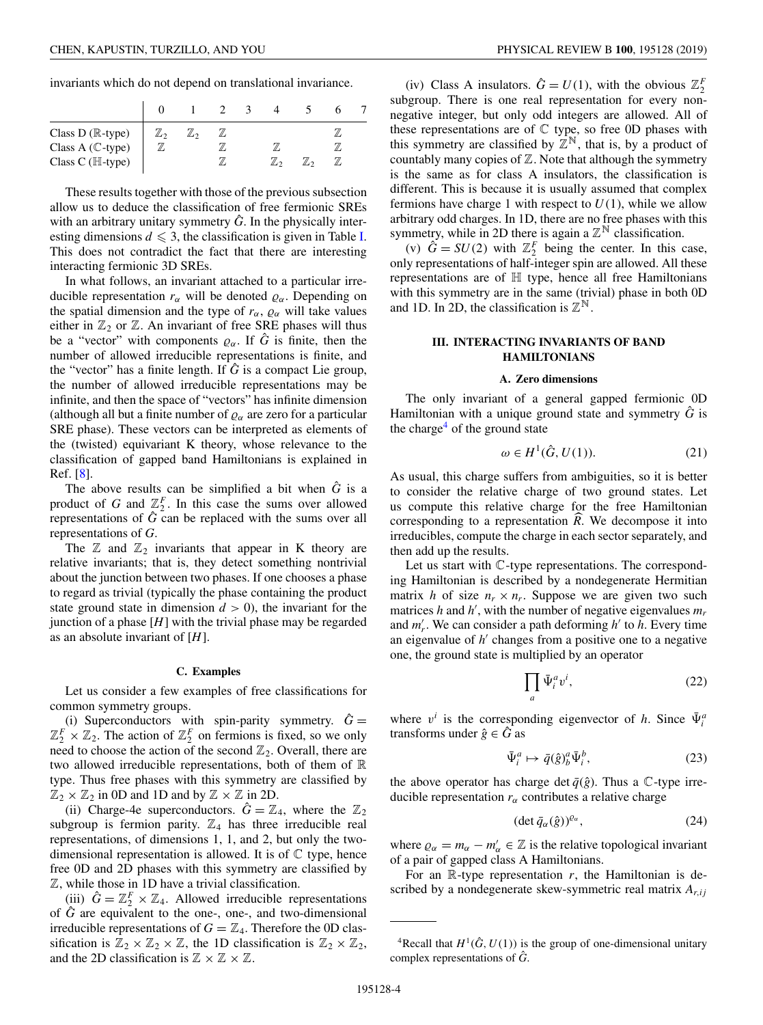<span id="page-3-0"></span>invariants which do not depend on translational invariance.

| $\begin{array}{l} \textrm{Class D (}\mathbb{R}\textrm{-type)}\\ \textrm{Class A (}\mathbb{C}\textrm{-type)}\\ \textrm{Class C (}\mathbb{H}\textrm{-type)} \end{array}$ |  |  |  |  |
|------------------------------------------------------------------------------------------------------------------------------------------------------------------------|--|--|--|--|
|                                                                                                                                                                        |  |  |  |  |

These results together with those of the previous subsection allow us to deduce the classification of free fermionic SREs with an arbitrary unitary symmetry  $\hat{G}$ . In the physically interesting dimensions  $d \leq 3$ , the classification is given in Table [I.](#page-1-0) This does not contradict the fact that there are interesting interacting fermionic 3D SREs.

In what follows, an invariant attached to a particular irreducible representation  $r_\alpha$  will be denoted  $\rho_\alpha$ . Depending on the spatial dimension and the type of  $r_\alpha$ ,  $\rho_\alpha$  will take values either in  $\mathbb{Z}_2$  or  $\mathbb{Z}$ . An invariant of free SRE phases will thus be a "vector" with components  $\varrho_{\alpha}$ . If  $\hat{G}$  is finite, then the number of allowed irreducible representations is finite, and the "vector" has a finite length. If  $\hat{G}$  is a compact Lie group, the number of allowed irreducible representations may be infinite, and then the space of "vectors" has infinite dimension (although all but a finite number of  $\varrho_{\alpha}$  are zero for a particular SRE phase). These vectors can be interpreted as elements of the (twisted) equivariant K theory, whose relevance to the classification of gapped band Hamiltonians is explained in Ref. [\[8\]](#page-10-0).

The above results can be simplified a bit when  $\hat{G}$  is a product of *G* and  $\mathbb{Z}_2^F$ . In this case the sums over allowed representations of  $\hat{G}$  can be replaced with the sums over all representations of *G*.

The  $\mathbb Z$  and  $\mathbb Z_2$  invariants that appear in K theory are relative invariants; that is, they detect something nontrivial about the junction between two phases. If one chooses a phase to regard as trivial (typically the phase containing the product state ground state in dimension  $d > 0$ , the invariant for the junction of a phase  $[H]$  with the trivial phase may be regarded as an absolute invariant of [*H*].

#### **C. Examples**

Let us consider a few examples of free classifications for common symmetry groups.

(i) Superconductors with spin-parity symmetry.  $\hat{G}$  =  $\mathbb{Z}_2^F \times \mathbb{Z}_2$ . The action of  $\mathbb{Z}_2^F$  on fermions is fixed, so we only need to choose the action of the second  $\mathbb{Z}_2$ . Overall, there are two allowed irreducible representations, both of them of  $\mathbb R$ type. Thus free phases with this symmetry are classified by  $\mathbb{Z}_2 \times \mathbb{Z}_2$  in 0D and 1D and by  $\mathbb{Z} \times \mathbb{Z}$  in 2D.

(ii) Charge-4e superconductors.  $\hat{G} = \mathbb{Z}_4$ , where the  $\mathbb{Z}_2$ subgroup is fermion parity.  $\mathbb{Z}_4$  has three irreducible real representations, of dimensions 1, 1, and 2, but only the twodimensional representation is allowed. It is of  $\mathbb C$  type, hence free 0D and 2D phases with this symmetry are classified by Z, while those in 1D have a trivial classification.

(iii)  $\hat{G} = \mathbb{Z}_2^F \times \mathbb{Z}_4$ . Allowed irreducible representations of  $\hat{G}$  are equivalent to the one-, one-, and two-dimensional irreducible representations of  $G = \mathbb{Z}_4$ . Therefore the 0D classification is  $\mathbb{Z}_2 \times \mathbb{Z}_2 \times \mathbb{Z}$ , the 1D classification is  $\mathbb{Z}_2 \times \mathbb{Z}_2$ , and the 2D classification is  $\mathbb{Z} \times \mathbb{Z} \times \mathbb{Z}$ .

(iv) Class A insulators.  $\hat{G} = U(1)$ , with the obvious  $\mathbb{Z}_2^F$ subgroup. There is one real representation for every nonnegative integer, but only odd integers are allowed. All of these representations are of  $\mathbb C$  type, so free 0D phases with this symmetry are classified by  $\mathbb{Z}^{\mathbb{N}}$ , that is, by a product of countably many copies of  $Z$ . Note that although the symmetry is the same as for class A insulators, the classification is different. This is because it is usually assumed that complex fermions have charge 1 with respect to  $U(1)$ , while we allow arbitrary odd charges. In 1D, there are no free phases with this symmetry, while in 2D there is again a  $\mathbb{Z}^{\mathbb{N}}$  classification.

(v)  $\hat{G} = SU(2)$  with  $\mathbb{Z}_2^F$  being the center. In this case, only representations of half-integer spin are allowed. All these representations are of H type, hence all free Hamiltonians with this symmetry are in the same (trivial) phase in both 0D and 1D. In 2D, the classification is  $\mathbb{Z}^{\mathbb{N}}$ .

# **III. INTERACTING INVARIANTS OF BAND HAMILTONIANS**

#### **A. Zero dimensions**

The only invariant of a general gapped fermionic 0D Hamiltonian with a unique ground state and symmetry  $\hat{G}$  is the charge<sup>4</sup> of the ground state

$$
\omega \in H^1(\hat{G}, U(1)).\tag{21}
$$

As usual, this charge suffers from ambiguities, so it is better to consider the relative charge of two ground states. Let us compute this relative charge for the free Hamiltonian corresponding to a representation *R*. We decompose it into irreducibles, compute the charge in each sector separately, and then add up the results.

Let us start with C-type representations. The corresponding Hamiltonian is described by a nondegenerate Hermitian matrix *h* of size  $n_r \times n_r$ . Suppose we are given two such matrices *h* and *h'*, with the number of negative eigenvalues  $m<sub>r</sub>$ and  $m'_r$ . We can consider a path deforming  $h'$  to  $h$ . Every time an eigenvalue of *h'* changes from a positive one to a negative one, the ground state is multiplied by an operator

$$
\prod_{a} \bar{\Psi}_{i}^{a} v^{i},\tag{22}
$$

where  $v^i$  is the corresponding eigenvector of *h*. Since  $\bar{\Psi}_i^a$ transforms under  $\hat{g} \in \hat{G}$  as

$$
\bar{\Psi}_i^a \mapsto \bar{q}(\hat{g})_b^a \bar{\Psi}_i^b, \tag{23}
$$

the above operator has charge det  $\bar{q}(\hat{g})$ . Thus a  $\mathbb{C}$ -type irreducible representation  $r_\alpha$  contributes a relative charge

$$
(\det \bar{q}_{\alpha}(\hat{g}))^{\varrho_{\alpha}}, \tag{24}
$$

where  $\varrho_{\alpha} = m_{\alpha} - m'_{\alpha} \in \mathbb{Z}$  is the relative topological invariant of a pair of gapped class A Hamiltonians.

For an  $\mathbb{R}$ -type representation  $r$ , the Hamiltonian is described by a nondegenerate skew-symmetric real matrix  $A_{r,ij}$ 

<sup>&</sup>lt;sup>4</sup>Recall that  $H^1(\hat{G}, U(1))$  is the group of one-dimensional unitary complex representations of *G*ˆ.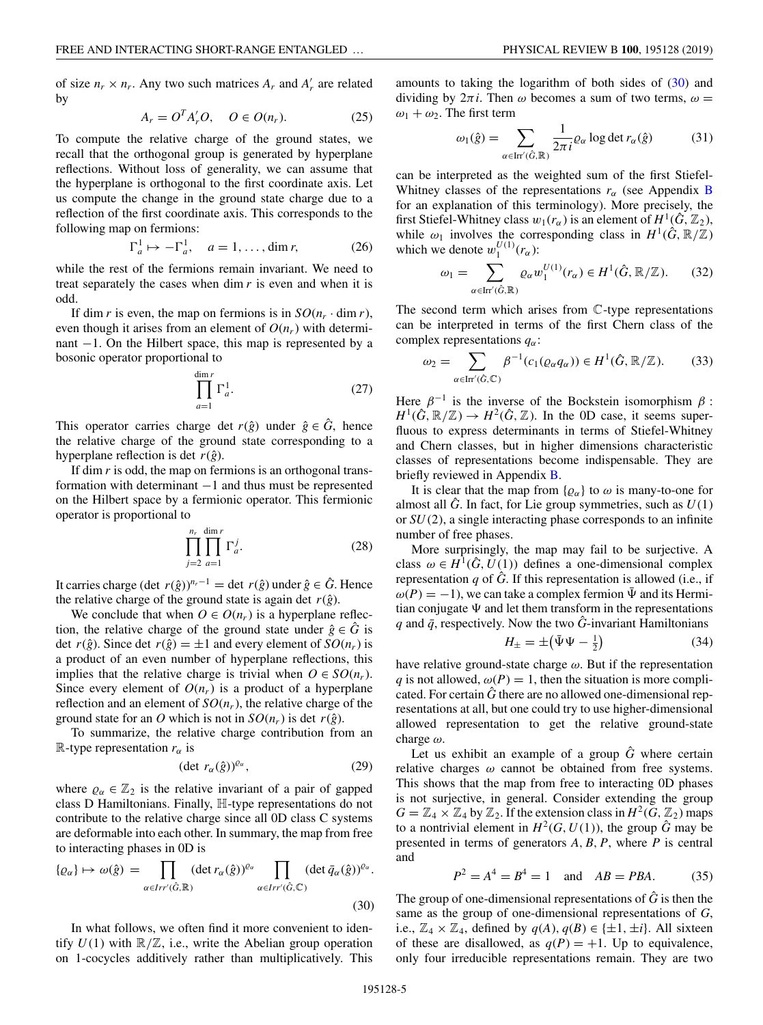of size  $n_r \times n_r$ . Any two such matrices  $A_r$  and  $A'_r$  are related by

$$
A_r = O^T A'_r O, \quad O \in O(n_r). \tag{25}
$$

To compute the relative charge of the ground states, we recall that the orthogonal group is generated by hyperplane reflections. Without loss of generality, we can assume that the hyperplane is orthogonal to the first coordinate axis. Let us compute the change in the ground state charge due to a reflection of the first coordinate axis. This corresponds to the following map on fermions:

$$
\Gamma_a^1 \mapsto -\Gamma_a^1, \quad a = 1, \dots, \dim r,\tag{26}
$$

while the rest of the fermions remain invariant. We need to treat separately the cases when dim *r* is even and when it is odd.

If dim *r* is even, the map on fermions is in  $SO(n_r \cdot \dim r)$ , even though it arises from an element of  $O(n_r)$  with determinant −1. On the Hilbert space, this map is represented by a bosonic operator proportional to

$$
\prod_{a=1}^{\dim r} \Gamma_a^1.
$$
 (27)

This operator carries charge det  $r(\hat{g})$  under  $\hat{g} \in \hat{G}$ , hence the relative charge of the ground state corresponding to a hyperplane reflection is det  $r(\hat{g})$ .

If dim *r* is odd, the map on fermions is an orthogonal transformation with determinant −1 and thus must be represented on the Hilbert space by a fermionic operator. This fermionic operator is proportional to

$$
\prod_{j=2}^{n_r} \prod_{a=1}^{\dim r} \Gamma_a^j.
$$
 (28)

It carries charge (det *r*( $\hat{g}$ ))<sup>*n<sub>r</sub>*−1</sup> = det *r*( $\hat{g}$ ) under  $\hat{g} \in \hat{G}$ . Hence the relative charge of the ground state is again det  $r(\hat{g})$ .

We conclude that when  $O \in O(n_r)$  is a hyperplane reflection, the relative charge of the ground state under  $\hat{g} \in \hat{G}$  is det  $r(\hat{g})$ . Since det  $r(\hat{g}) = \pm 1$  and every element of  $SO(n_r)$  is a product of an even number of hyperplane reflections, this implies that the relative charge is trivial when  $O \in SO(n_r)$ . Since every element of  $O(n_r)$  is a product of a hyperplane reflection and an element of  $SO(n_r)$ , the relative charge of the ground state for an *O* which is not in  $SO(n_r)$  is det  $r(\hat{g})$ .

To summarize, the relative charge contribution from an R-type representation  $r_{\alpha}$  is

$$
(\det r_{\alpha}(\hat{g}))^{\varrho_{\alpha}}, \tag{29}
$$

where  $\varrho_{\alpha} \in \mathbb{Z}_2$  is the relative invariant of a pair of gapped class D Hamiltonians. Finally, H-type representations do not contribute to the relative charge since all 0D class C systems are deformable into each other. In summary, the map from free to interacting phases in 0D is

$$
\{\varrho_{\alpha}\} \mapsto \omega(\hat{g}) = \prod_{\alpha \in Irr'(\hat{G}, \mathbb{R})} (\det r_{\alpha}(\hat{g}))^{\varrho_{\alpha}} \prod_{\alpha \in Irr'(\hat{G}, \mathbb{C})} (\det \bar{q}_{\alpha}(\hat{g}))^{\varrho_{\alpha}}.
$$
\n(30)

In what follows, we often find it more convenient to identify  $U(1)$  with  $\mathbb{R}/\mathbb{Z}$ , i.e., write the Abelian group operation on 1-cocycles additively rather than multiplicatively. This  $\omega_1 + \omega_2$ . The first term

$$
\omega_1(\hat{g}) = \sum_{\alpha \in \text{Irr}'(\hat{G}, \mathbb{R})} \frac{1}{2\pi i} \varrho_\alpha \log \det r_\alpha(\hat{g}) \tag{31}
$$

can be interpreted as the weighted sum of the first Stiefel-Whitney classes of the representations  $r_\alpha$  (see Appendix [B](#page-8-0)) for an explanation of this terminology). More precisely, the first Stiefel-Whitney class  $w_1(r_\alpha)$  is an element of  $H^1(\hat{G}, \mathbb{Z}_2)$ , while  $\omega_1$  involves the corresponding class in  $H^1(\hat{G}, \mathbb{R}/\mathbb{Z})$ which we denote  $w_1^{U(1)}(r_\alpha)$ :

$$
\omega_1 = \sum_{\alpha \in \text{Irr}'(\hat{G}, \mathbb{R})} \varrho_\alpha w_1^{U(1)}(r_\alpha) \in H^1(\hat{G}, \mathbb{R}/\mathbb{Z}).\tag{32}
$$

The second term which arises from C-type representations can be interpreted in terms of the first Chern class of the complex representations *q*α:

$$
\omega_2 = \sum_{\alpha \in \text{Irr}'(\hat{G}, \mathbb{C})} \beta^{-1}(c_1(\varrho_\alpha q_\alpha)) \in H^1(\hat{G}, \mathbb{R}/\mathbb{Z}).\tag{33}
$$

Here  $\beta^{-1}$  is the inverse of the Bockstein isomorphism  $\beta$ :  $H^1(\hat{G}, \mathbb{R}/\mathbb{Z}) \to H^2(\hat{G}, \mathbb{Z})$ . In the 0D case, it seems superfluous to express determinants in terms of Stiefel-Whitney and Chern classes, but in higher dimensions characteristic classes of representations become indispensable. They are briefly reviewed in Appendix [B.](#page-8-0)

It is clear that the map from  $\{\varrho_{\alpha}\}\$  to  $\omega$  is many-to-one for almost all  $\hat{G}$ . In fact, for Lie group symmetries, such as  $U(1)$ or *SU* (2), a single interacting phase corresponds to an infinite number of free phases.

More surprisingly, the map may fail to be surjective. A class  $\omega \in H^1(\hat{G}, U(1))$  defines a one-dimensional complex representation *q* of  $\hat{G}$ . If this representation is allowed (i.e., if  $\omega(P) = -1$ , we can take a complex fermion  $\bar{\Psi}$  and its Hermitian conjugate  $\Psi$  and let them transform in the representations  $q$  and  $\bar{q}$ , respectively. Now the two  $\hat{G}$ -invariant Hamiltonians

$$
H_{\pm} = \pm \left(\bar{\Psi}\Psi - \frac{1}{2}\right) \tag{34}
$$

have relative ground-state charge  $\omega$ . But if the representation *q* is not allowed,  $\omega(P) = 1$ , then the situation is more complicated. For certain  $\hat{G}$  there are no allowed one-dimensional representations at all, but one could try to use higher-dimensional allowed representation to get the relative ground-state charge  $\omega$ .

Let us exhibit an example of a group  $\hat{G}$  where certain relative charges  $\omega$  cannot be obtained from free systems. This shows that the map from free to interacting 0D phases is not surjective, in general. Consider extending the group  $G = \mathbb{Z}_4 \times \mathbb{Z}_4$  by  $\mathbb{Z}_2$ . If the extension class in  $H^2(G, \mathbb{Z}_2)$  maps to a nontrivial element in  $H^2(G, U(1))$ , the group  $\hat{G}$  may be presented in terms of generators *A*, *B*, *P*, where *P* is central and

$$
P^2 = A^4 = B^4 = 1
$$
 and  $AB = PBA$ . (35)

The group of one-dimensional representations of  $\hat{G}$  is then the same as the group of one-dimensional representations of *G*, i.e.,  $\mathbb{Z}_4 \times \mathbb{Z}_4$ , defined by  $q(A), q(B) \in \{\pm 1, \pm i\}$ . All sixteen of these are disallowed, as  $q(P) = +1$ . Up to equivalence, only four irreducible representations remain. They are two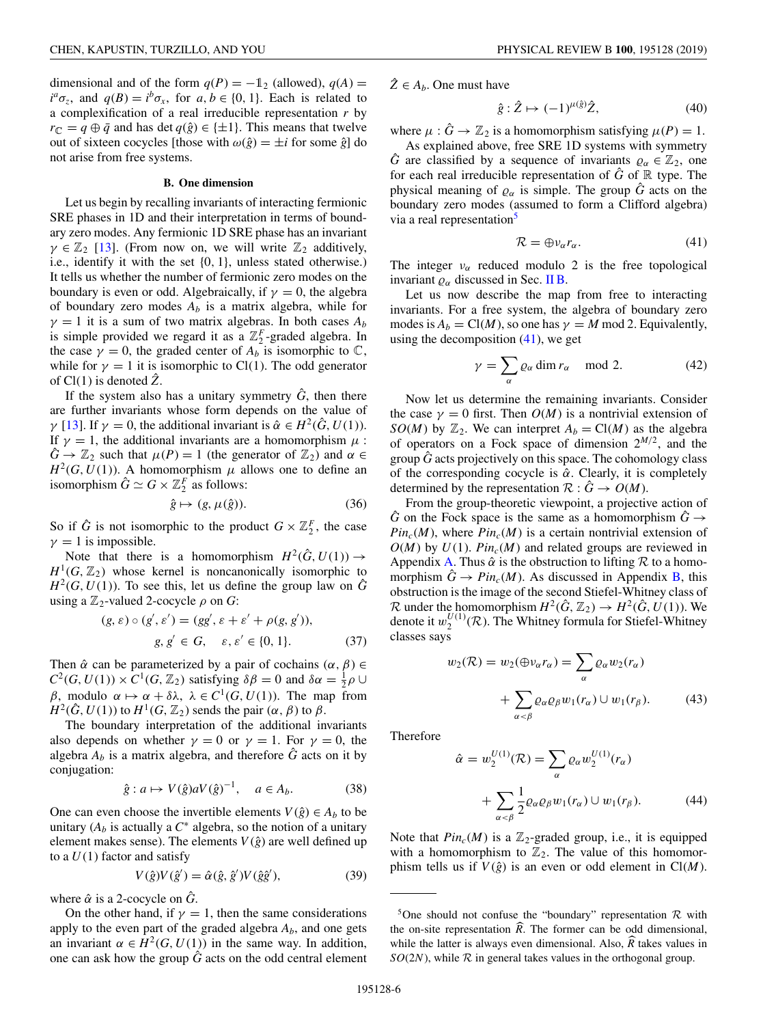<span id="page-5-0"></span>dimensional and of the form  $q(P) = -1_2$  (allowed),  $q(A) =$  $i^a \sigma_z$ , and  $q(B) = i^b \sigma_x$ , for *a*, *b* ∈ {0, 1}. Each is related to a complexification of a real irreducible representation *r* by  $r_{\mathbb{C}} = q \oplus \bar{q}$  and has det  $q(\hat{g}) \in \{\pm 1\}$ . This means that twelve out of sixteen cocycles [those with  $\omega(\hat{g}) = \pm i$  for some  $\hat{g}$ ] do not arise from free systems.

#### **B. One dimension**

Let us begin by recalling invariants of interacting fermionic SRE phases in 1D and their interpretation in terms of boundary zero modes. Any fermionic 1D SRE phase has an invariant  $\gamma \in \mathbb{Z}_2$  [\[13\]](#page-10-0). (From now on, we will write  $\mathbb{Z}_2$  additively, i.e., identify it with the set {0, 1}, unless stated otherwise.) It tells us whether the number of fermionic zero modes on the boundary is even or odd. Algebraically, if  $\gamma = 0$ , the algebra of boundary zero modes  $A_b$  is a matrix algebra, while for  $\gamma = 1$  it is a sum of two matrix algebras. In both cases  $A_b$ is simple provided we regard it as a  $\mathbb{Z}_2^F$ -graded algebra. In the case  $\gamma = 0$ , the graded center of  $A_b$  is isomorphic to  $\mathbb{C}$ , while for  $\gamma = 1$  it is isomorphic to Cl(1). The odd generator of  $Cl(1)$  is denoted  $Z$ .

If the system also has a unitary symmetry  $\hat{G}$ , then there are further invariants whose form depends on the value of *γ* [\[13\]](#page-10-0). If  $\gamma = 0$ , the additional invariant is  $\hat{\alpha} \in H^2(\hat{G}, U(1))$ . If  $\gamma = 1$ , the additional invariants are a homomorphism  $\mu$ :  $\hat{G} \rightarrow \mathbb{Z}_2$  such that  $\mu(P) = 1$  (the generator of  $\mathbb{Z}_2$ ) and  $\alpha \in$  $H^2(G, U(1))$ . A homomorphism  $\mu$  allows one to define an isomorphism  $\hat{G} \simeq G \times \mathbb{Z}_2^F$  as follows:

$$
\hat{g} \mapsto (g, \mu(\hat{g})). \tag{36}
$$

So if  $\hat{G}$  is not isomorphic to the product  $G \times \mathbb{Z}_2^F$ , the case  $\gamma = 1$  is impossible.

Note that there is a homomorphism  $H^2(\hat{G}, U(1)) \rightarrow$  $H^1(G, \mathbb{Z}_2)$  whose kernel is noncanonically isomorphic to  $H^2(G, U(1))$ . To see this, let us define the group law on  $\hat{G}$ using a  $\mathbb{Z}_2$ -valued 2-cocycle  $\rho$  on *G*:

$$
(g, \varepsilon) \circ (g', \varepsilon') = (gg', \varepsilon + \varepsilon' + \rho(g, g')),g, g' \in G, \varepsilon, \varepsilon' \in \{0, 1\}.
$$
 (37)

Then  $\hat{\alpha}$  can be parameterized by a pair of cochains  $(\alpha, \beta) \in$  $C^2(G, U(1)) \times C^1(G, \mathbb{Z}_2)$  satisfying  $\delta \beta = 0$  and  $\delta \alpha = \frac{1}{2}\rho \cup$ β, modulo  $\alpha \mapsto \alpha + \delta \lambda$ ,  $\lambda \in C^1(G, U(1))$ . The map from  $H^2(\hat{G}, U(1))$  to  $H^1(G, \mathbb{Z}_2)$  sends the pair  $(\alpha, \beta)$  to  $\beta$ .

The boundary interpretation of the additional invariants also depends on whether  $\gamma = 0$  or  $\gamma = 1$ . For  $\gamma = 0$ , the algebra  $A_b$  is a matrix algebra, and therefore  $\hat{G}$  acts on it by conjugation:

$$
\hat{g}: a \mapsto V(\hat{g})aV(\hat{g})^{-1}, \quad a \in A_b.
$$
 (38)

One can even choose the invertible elements  $V(\hat{g}) \in A_b$  to be unitary  $(A_b)$  is actually a  $C^*$  algebra, so the notion of a unitary element makes sense). The elements  $V(\hat{g})$  are well defined up to a  $U(1)$  factor and satisfy

$$
V(\hat{g})V(\hat{g}') = \hat{\alpha}(\hat{g}, \hat{g}')V(\hat{g}\hat{g}'),\tag{39}
$$

where  $\hat{\alpha}$  is a 2-cocycle on  $\hat{G}$ .

On the other hand, if  $\gamma = 1$ , then the same considerations apply to the even part of the graded algebra  $A<sub>b</sub>$ , and one gets an invariant  $\alpha \in H^2(G, U(1))$  in the same way. In addition, one can ask how the group  $\tilde{G}$  acts on the odd central element  $\hat{Z} \in A_b$ . One must have

$$
\hat{g} : \hat{Z} \mapsto (-1)^{\mu(\hat{g})} \hat{Z},\tag{40}
$$

where  $\mu$ :  $\hat{G} \rightarrow \mathbb{Z}_2$  is a homomorphism satisfying  $\mu(P) = 1$ .

As explained above, free SRE 1D systems with symmetry *G* are classified by a sequence of invariants  $\varrho_{\alpha} \in \mathbb{Z}_2$ , one for each real irreducible representation of  $\hat{G}$  of  $\mathbb R$  type. The physical meaning of  $\rho_{\alpha}$  is simple. The group  $\hat{G}$  acts on the boundary zero modes (assumed to form a Clifford algebra) via a real representation<sup>5</sup>

$$
\mathcal{R} = \bigoplus \nu_{\alpha} r_{\alpha}.\tag{41}
$$

The integer  $v_{\alpha}$  reduced modulo 2 is the free topological invariant  $\varrho_{\alpha}$  discussed in Sec. [II B.](#page-2-0)

Let us now describe the map from free to interacting invariants. For a free system, the algebra of boundary zero modes is  $A_b = Cl(M)$ , so one has  $\gamma = M \text{ mod } 2$ . Equivalently, using the decomposition  $(41)$ , we get

$$
\gamma = \sum_{\alpha} \varrho_{\alpha} \dim r_{\alpha} \mod 2. \tag{42}
$$

Now let us determine the remaining invariants. Consider the case  $\gamma = 0$  first. Then  $O(M)$  is a nontrivial extension of *SO*(*M*) by  $\mathbb{Z}_2$ . We can interpret  $A_b = \text{Cl}(M)$  as the algebra of operators on a Fock space of dimension  $2^{M/2}$ , and the group  $\hat{G}$  acts projectively on this space. The cohomology class of the corresponding cocycle is  $\hat{\alpha}$ . Clearly, it is completely determined by the representation  $\mathcal{R}: \tilde{G} \to O(M)$ .

From the group-theoretic viewpoint, a projective action of  $\hat{G}$  on the Fock space is the same as a homomorphism  $\hat{G} \rightarrow$  $Pin_c(M)$ , where  $Pin_c(M)$  is a certain nontrivial extension of  $O(M)$  by  $U(1)$ .  $Pin<sub>c</sub>(M)$  and related groups are reviewed in Appendix [A.](#page-7-0) Thus  $\hat{\alpha}$  is the obstruction to lifting  $\mathcal R$  to a homomorphism  $\hat{G} \rightarrow Pin_c(M)$ . As discussed in Appendix [B,](#page-8-0) this obstruction is the image of the second Stiefel-Whitney class of R under the homomorphism  $H^2(\hat{G}, \mathbb{Z}_2) \to H^2(\hat{G}, U(1))$ . We denote it  $w_2^{U(1)}(\mathcal{R})$ . The Whitney formula for Stiefel-Whitney classes says

$$
w_2(\mathcal{R}) = w_2(\bigoplus_{\alpha} v_{\alpha} r_{\alpha}) = \sum_{\alpha} \varrho_{\alpha} w_2(r_{\alpha})
$$

$$
+ \sum_{\alpha < \beta} \varrho_{\alpha} \varrho_{\beta} w_1(r_{\alpha}) \cup w_1(r_{\beta}). \tag{43}
$$

Therefore

 $\hat{\alpha}$ 

$$
= w_2^{U(1)}(\mathcal{R}) = \sum_{\alpha} \varrho_{\alpha} w_2^{U(1)}(r_{\alpha})
$$

$$
+ \sum_{\alpha < \beta} \frac{1}{2} \varrho_{\alpha} \varrho_{\beta} w_1(r_{\alpha}) \cup w_1(r_{\beta}). \tag{44}
$$

Note that  $Pin_c(M)$  is a  $\mathbb{Z}_2$ -graded group, i.e., it is equipped with a homomorphism to  $\mathbb{Z}_2$ . The value of this homomorphism tells us if  $V(\hat{g})$  is an even or odd element in Cl(*M*).

<sup>&</sup>lt;sup>5</sup>One should not confuse the "boundary" representation  $\mathcal R$  with the on-site representation  $\hat{R}$ . The former can be odd dimensional, while the latter is always even dimensional. Also,  $\overline{R}$  takes values in  $SO(2N)$ , while  $R$  in general takes values in the orthogonal group.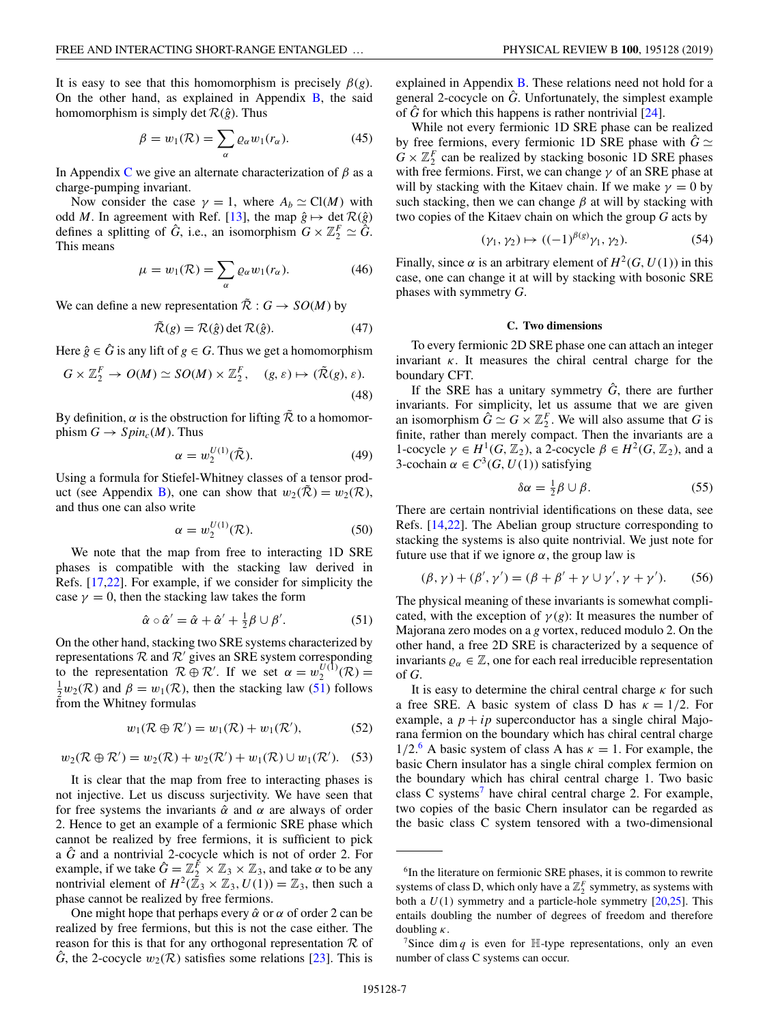<span id="page-6-0"></span>It is easy to see that this homomorphism is precisely  $\beta(g)$ . On the other hand, as explained in Appendix  $\overline{B}$ , the said homomorphism is simply det  $\mathcal{R}(\hat{g})$ . Thus

$$
\beta = w_1(\mathcal{R}) = \sum_{\alpha} \varrho_{\alpha} w_1(r_{\alpha}). \tag{45}
$$

In Appendix [C](#page-9-0) we give an alternate characterization of  $\beta$  as a charge-pumping invariant.

Now consider the case  $\gamma = 1$ , where  $A_b \simeq \text{Cl}(M)$  with odd *M*. In agreement with Ref. [\[13\]](#page-10-0), the map  $\hat{g} \mapsto \det \mathcal{R}(\hat{g})$ defines a splitting of  $\hat{G}$ , i.e., an isomorphism  $G \times \mathbb{Z}_2^F \simeq \hat{G}$ . This means

$$
\mu = w_1(\mathcal{R}) = \sum_{\alpha} \varrho_{\alpha} w_1(r_{\alpha}). \tag{46}
$$

We can define a new representation  $\tilde{\mathcal{R}}$  :  $G \rightarrow SO(M)$  by

$$
\tilde{\mathcal{R}}(g) = \mathcal{R}(\hat{g}) \det \mathcal{R}(\hat{g}). \tag{47}
$$

Here  $\hat{g} \in \hat{G}$  is any lift of  $g \in G$ . Thus we get a homomorphism

$$
G \times \mathbb{Z}_2^F \to O(M) \simeq SO(M) \times \mathbb{Z}_2^F, \quad (g, \varepsilon) \mapsto (\tilde{\mathcal{R}}(g), \varepsilon).
$$
\n(48)

By definition,  $\alpha$  is the obstruction for lifting  $\tilde{\mathcal{R}}$  to a homomorphism  $G \to Spin<sub>c</sub>(M)$ . Thus

$$
\alpha = w_2^{U(1)}(\tilde{\mathcal{R}}). \tag{49}
$$

Using a formula for Stiefel-Whitney classes of a tensor prod-uct (see Appendix [B\)](#page-8-0), one can show that  $w_2(\mathcal{R}) = w_2(\mathcal{R})$ , and thus one can also write

$$
\alpha = w_2^{U(1)}(\mathcal{R}).\tag{50}
$$

We note that the map from free to interacting 1D SRE phases is compatible with the stacking law derived in Refs. [\[17,22\]](#page-10-0). For example, if we consider for simplicity the case  $\gamma = 0$ , then the stacking law takes the form

$$
\hat{\alpha} \circ \hat{\alpha}' = \hat{\alpha} + \hat{\alpha}' + \frac{1}{2}\beta \cup \beta'. \tag{51}
$$

On the other hand, stacking two SRE systems characterized by representations  $R$  and  $R'$  gives an SRE system corresponding to the representation  $\mathcal{R} \oplus \mathcal{R}'$ . If we set  $\alpha = w_2^{U(1)}(\mathcal{R}) = \frac{1}{2}w_2(\mathcal{R})$  and  $\beta = w_1(\mathcal{R})$  then the stacking law (51) follows  $\frac{1}{2}w_2(\mathcal{R})$  and  $\beta = w_1(\mathcal{R})$ , then the stacking law (51) follows from the Whitney formulas

$$
w_1(\mathcal{R} \oplus \mathcal{R}') = w_1(\mathcal{R}) + w_1(\mathcal{R}'),\tag{52}
$$

$$
w_2(\mathcal{R} \oplus \mathcal{R}') = w_2(\mathcal{R}) + w_2(\mathcal{R}') + w_1(\mathcal{R}) \cup w_1(\mathcal{R}').
$$
 (53)

It is clear that the map from free to interacting phases is not injective. Let us discuss surjectivity. We have seen that for free systems the invariants  $\hat{\alpha}$  and  $\alpha$  are always of order 2. Hence to get an example of a fermionic SRE phase which cannot be realized by free fermions, it is sufficient to pick a  $\hat{G}$  and a nontrivial 2-cocycle which is not of order 2. For example, if we take  $\hat{G} = \mathbb{Z}_2^F \times \mathbb{Z}_3 \times \mathbb{Z}_3$ , and take  $\alpha$  to be any nontrivial element of  $H^2(\bar{Z}_3 \times Z_3, U(1)) = Z_3$ , then such a phase cannot be realized by free fermions.

One might hope that perhaps every  $\hat{\alpha}$  or  $\alpha$  of order 2 can be realized by free fermions, but this is not the case either. The reason for this is that for any orthogonal representation  $\mathcal R$  of  $\hat{G}$ , the 2-cocycle  $w_2(\mathcal{R})$  satisfies some relations [\[23\]](#page-11-0). This is explained in Appendix [B.](#page-8-0) These relations need not hold for a general 2-cocycle on  $\hat{G}$ . Unfortunately, the simplest example of  $\hat{G}$  for which this happens is rather nontrivial [\[24\]](#page-11-0).

While not every fermionic 1D SRE phase can be realized by free fermions, every fermionic 1D SRE phase with  $\hat{G} \simeq$  $G \times \mathbb{Z}_2^F$  can be realized by stacking bosonic 1D SRE phases with free fermions. First, we can change  $\gamma$  of an SRE phase at will by stacking with the Kitaev chain. If we make  $\gamma = 0$  by such stacking, then we can change  $\beta$  at will by stacking with two copies of the Kitaev chain on which the group *G* acts by

$$
(\gamma_1, \gamma_2) \mapsto ((-1)^{\beta(g)} \gamma_1, \gamma_2). \tag{54}
$$

Finally, since  $\alpha$  is an arbitrary element of  $H^2(G, U(1))$  in this case, one can change it at will by stacking with bosonic SRE phases with symmetry *G*.

#### **C. Two dimensions**

To every fermionic 2D SRE phase one can attach an integer invariant  $\kappa$ . It measures the chiral central charge for the boundary CFT.

If the SRE has a unitary symmetry  $\hat{G}$ , there are further invariants. For simplicity, let us assume that we are given an isomorphism  $\hat{G} \simeq G \times \mathbb{Z}_2^F$ . We will also assume that *G* is finite, rather than merely compact. Then the invariants are a 1-cocycle  $\gamma \in H^1(G, \mathbb{Z}_2)$ , a 2-cocycle  $\beta \in H^2(G, \mathbb{Z}_2)$ , and a 3-cochain  $\alpha \in C^3(G, U(1))$  satisfying

$$
\delta \alpha = \frac{1}{2} \beta \cup \beta. \tag{55}
$$

There are certain nontrivial identifications on these data, see Refs. [\[14,22\]](#page-10-0). The Abelian group structure corresponding to stacking the systems is also quite nontrivial. We just note for future use that if we ignore  $\alpha$ , the group law is

$$
(\beta, \gamma) + (\beta', \gamma') = (\beta + \beta' + \gamma \cup \gamma', \gamma + \gamma').
$$
 (56)

The physical meaning of these invariants is somewhat complicated, with the exception of  $\gamma(g)$ : It measures the number of Majorana zero modes on a *g* vortex, reduced modulo 2. On the other hand, a free 2D SRE is characterized by a sequence of invariants  $\varrho_{\alpha} \in \mathbb{Z}$ , one for each real irreducible representation of *G*.

It is easy to determine the chiral central charge  $\kappa$  for such a free SRE. A basic system of class D has  $\kappa = 1/2$ . For example, a  $p + ip$  superconductor has a single chiral Majorana fermion on the boundary which has chiral central charge  $1/2^6$  A basic system of class A has  $\kappa = 1$ . For example, the basic Chern insulator has a single chiral complex fermion on the boundary which has chiral central charge 1. Two basic class C systems<sup>7</sup> have chiral central charge 2. For example, two copies of the basic Chern insulator can be regarded as the basic class C system tensored with a two-dimensional

<sup>&</sup>lt;sup>6</sup>In the literature on fermionic SRE phases, it is common to rewrite systems of class D, which only have a  $\mathbb{Z}_2^F$  symmetry, as systems with both a  $U(1)$  symmetry and a particle-hole symmetry  $[20,25]$  $[20,25]$ . This entails doubling the number of degrees of freedom and therefore doubling κ.

<sup>&</sup>lt;sup>7</sup>Since dim *q* is even for  $H$ -type representations, only an even number of class C systems can occur.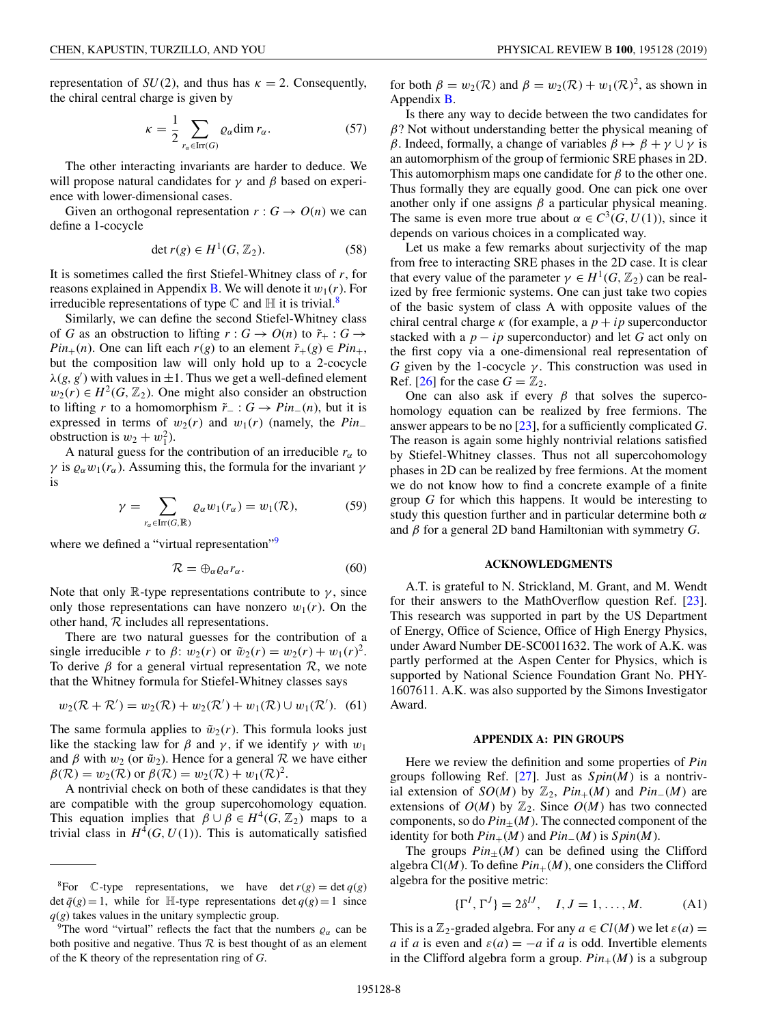<span id="page-7-0"></span>representation of  $SU(2)$ , and thus has  $\kappa = 2$ . Consequently, the chiral central charge is given by

$$
\kappa = \frac{1}{2} \sum_{r_{\alpha} \in \text{Irr}(G)} \varrho_{\alpha} \dim r_{\alpha}.
$$
 (57)

The other interacting invariants are harder to deduce. We will propose natural candidates for  $\gamma$  and  $\beta$  based on experience with lower-dimensional cases.

Given an orthogonal representation  $r : G \to O(n)$  we can define a 1-cocycle

$$
\det r(g) \in H^1(G, \mathbb{Z}_2). \tag{58}
$$

It is sometimes called the first Stiefel-Whitney class of *r*, for reasons explained in Appendix **B**. We will denote it  $w_1(r)$ . For irreducible representations of type  $\mathbb C$  and  $\mathbb H$  it is trivial.<sup>8</sup>

Similarly, we can define the second Stiefel-Whitney class of *G* as an obstruction to lifting  $r: G \to O(n)$  to  $\tilde{r}_+ : G \to$ *Pin*<sub>+</sub>(*n*). One can lift each *r*(*g*) to an element  $\tilde{r}_+(g) \in Pin_+$ , but the composition law will only hold up to a 2-cocycle  $\lambda(g, g')$  with values in  $\pm 1$ . Thus we get a well-defined element  $w_2(r) \in H^2(G, \mathbb{Z}_2)$ . One might also consider an obstruction to lifting *r* to a homomorphism  $\tilde{r}$  : *G* → *Pin*<sub>−</sub>(*n*), but it is expressed in terms of  $w_2(r)$  and  $w_1(r)$  (namely, the *Pin*<sub>−</sub> obstruction is  $w_2 + w_1^2$ ).

A natural guess for the contribution of an irreducible  $r_\alpha$  to *γ* is  $ρ<sub>α</sub> w<sub>1</sub>(r<sub>α</sub>)$ . Assuming this, the formula for the invariant γ is

$$
\gamma = \sum_{r_{\alpha} \in \text{Irr}(G,\mathbb{R})} \varrho_{\alpha} w_1(r_{\alpha}) = w_1(\mathcal{R}), \tag{59}
$$

where we defined a "virtual representation"<sup>9</sup>

$$
\mathcal{R} = \bigoplus_{\alpha} \varrho_{\alpha} r_{\alpha}.
$$
 (60)

Note that only R-type representations contribute to  $\gamma$ , since only those representations can have nonzero  $w_1(r)$ . On the other hand, R includes all representations.

There are two natural guesses for the contribution of a single irreducible *r* to  $\beta$ :  $w_2(r)$  or  $\tilde{w}_2(r) = w_2(r) + w_1(r)^2$ . To derive  $\beta$  for a general virtual representation  $\mathcal{R}$ , we note that the Whitney formula for Stiefel-Whitney classes says

$$
w_2(R + \mathcal{R}') = w_2(\mathcal{R}) + w_2(\mathcal{R}') + w_1(\mathcal{R}) \cup w_1(\mathcal{R}').
$$
 (61)

The same formula applies to  $\tilde{w}_2(r)$ . This formula looks just like the stacking law for  $\beta$  and  $\gamma$ , if we identify  $\gamma$  with  $w_1$ and  $\beta$  with  $w_2$  (or  $\tilde{w}_2$ ). Hence for a general  $\mathcal R$  we have either  $\beta(\mathcal{R}) = w_2(\mathcal{R})$  or  $\beta(\mathcal{R}) = w_2(\mathcal{R}) + w_1(\mathcal{R})^2$ .

A nontrivial check on both of these candidates is that they are compatible with the group supercohomology equation. This equation implies that  $\beta \cup \beta \in H^4(G, \mathbb{Z}_2)$  maps to a trivial class in  $H^4(G, U(1))$ . This is automatically satisfied

for both  $\beta = w_2(\mathcal{R})$  and  $\beta = w_2(\mathcal{R}) + w_1(\mathcal{R})^2$ , as shown in Appendix [B.](#page-8-0)

Is there any way to decide between the two candidates for  $\beta$ ? Not without understanding better the physical meaning of β. Indeed, formally, a change of variables  $\beta \mapsto \beta + \gamma \cup \gamma$  is an automorphism of the group of fermionic SRE phases in 2D. This automorphism maps one candidate for  $\beta$  to the other one. Thus formally they are equally good. One can pick one over another only if one assigns  $\beta$  a particular physical meaning. The same is even more true about  $\alpha \in C^3(G, U(1))$ , since it depends on various choices in a complicated way.

Let us make a few remarks about surjectivity of the map from free to interacting SRE phases in the 2D case. It is clear that every value of the parameter  $\gamma \in H^1(G, \mathbb{Z}_2)$  can be realized by free fermionic systems. One can just take two copies of the basic system of class A with opposite values of the chiral central charge  $\kappa$  (for example, a  $p + ip$  superconductor stacked with a  $p - ip$  superconductor) and let G act only on the first copy via a one-dimensional real representation of *G* given by the 1-cocycle  $\gamma$ . This construction was used in Ref. [\[26\]](#page-11-0) for the case  $G = \mathbb{Z}_2$ .

One can also ask if every  $\beta$  that solves the supercohomology equation can be realized by free fermions. The answer appears to be no [\[23\]](#page-11-0), for a sufficiently complicated *G*. The reason is again some highly nontrivial relations satisfied by Stiefel-Whitney classes. Thus not all supercohomology phases in 2D can be realized by free fermions. At the moment we do not know how to find a concrete example of a finite group *G* for which this happens. It would be interesting to study this question further and in particular determine both  $\alpha$ and β for a general 2D band Hamiltonian with symmetry *G*.

### **ACKNOWLEDGMENTS**

A.T. is grateful to N. Strickland, M. Grant, and M. Wendt for their answers to the MathOverflow question Ref. [\[23\]](#page-11-0). This research was supported in part by the US Department of Energy, Office of Science, Office of High Energy Physics, under Award Number DE-SC0011632. The work of A.K. was partly performed at the Aspen Center for Physics, which is supported by National Science Foundation Grant No. PHY-1607611. A.K. was also supported by the Simons Investigator Award.

#### **APPENDIX A: PIN GROUPS**

Here we review the definition and some properties of *Pin* groups following Ref. [\[27\]](#page-11-0). Just as *S pin*(*M*) is a nontrivial extension of *SO*(*M*) by  $\mathbb{Z}_2$ ,  $Pin_+(M)$  and  $Pin_-(M)$  are extensions of  $O(M)$  by  $\mathbb{Z}_2$ . Since  $O(M)$  has two connected components, so do  $Pin_{+}(M)$ . The connected component of the identity for both  $Pin_{+}(M)$  and  $Pin_{-}(M)$  is  $Spin(M)$ .

The groups  $Pin_{\pm}(M)$  can be defined using the Clifford algebra  $Cl(M)$ . To define  $Pin_+(M)$ , one considers the Clifford algebra for the positive metric:

$$
\{\Gamma^I, \Gamma^J\} = 2\delta^{IJ}, \quad I, J = 1, \dots, M. \tag{A1}
$$

This is a  $\mathbb{Z}_2$ -graded algebra. For any  $a \in Cl(M)$  we let  $\varepsilon(a) =$ *a* if *a* is even and  $\varepsilon(a) = -a$  if *a* is odd. Invertible elements in the Clifford algebra form a group.  $Pin_{+}(M)$  is a subgroup

<sup>&</sup>lt;sup>8</sup>For C-type representations, we have det  $r(g) = \det q(g)$ det  $\bar{q}(g) = 1$ , while for H-type representations det  $q(g) = 1$  since  $q$ ( $g$ ) takes values in the unitary symplectic group.

<sup>&</sup>lt;sup>9</sup>The word "virtual" reflects the fact that the numbers  $\varrho_{\alpha}$  can be both positive and negative. Thus  $R$  is best thought of as an element of the K theory of the representation ring of *G*.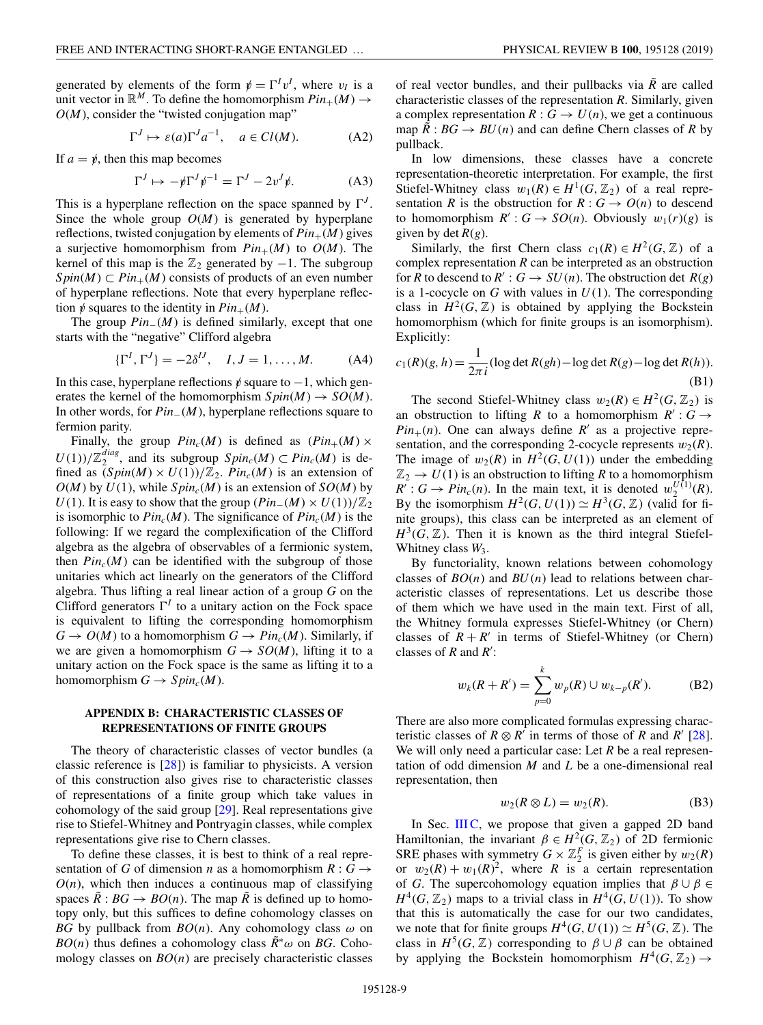<span id="page-8-0"></span>generated by elements of the form  $\psi = \Gamma^I v^I$ , where  $v_I$  is a unit vector in  $\mathbb{R}^M$ . To define the homomorphism  $Pin_+(M) \to$  $O(M)$ , consider the "twisted conjugation map"

$$
\Gamma^J \mapsto \varepsilon(a)\Gamma^J a^{-1}, \quad a \in Cl(M). \tag{A2}
$$

If  $a = \psi$ , then this map becomes

$$
\Gamma^{J} \mapsto -\psi \Gamma^{J} \psi^{-1} = \Gamma^{J} - 2v^{J} \psi.
$$
 (A3)

This is a hyperplane reflection on the space spanned by  $\Gamma^{J}$ . Since the whole group  $O(M)$  is generated by hyperplane reflections, twisted conjugation by elements of  $Pin_{+}(M)$  gives a surjective homomorphism from  $Pin_+(M)$  to  $O(M)$ . The kernel of this map is the  $\mathbb{Z}_2$  generated by  $-1$ . The subgroup  $Spin(M) \subset Pin_+(M)$  consists of products of an even number of hyperplane reflections. Note that every hyperplane reflection  $\psi$  squares to the identity in  $Pin_{+}(M)$ .

The group *Pin*−(*M*) is defined similarly, except that one starts with the "negative" Clifford algebra

$$
\{\Gamma^I, \Gamma^J\} = -2\delta^{IJ}, \quad I, J = 1, \dots, M. \tag{A4}
$$

In this case, hyperplane reflections  $\psi$  square to  $-1$ , which generates the kernel of the homomorphism  $Spin(M) \rightarrow SO(M)$ . In other words, for *Pin*−(*M*), hyperplane reflections square to fermion parity.

Finally, the group  $Pin_c(M)$  is defined as  $(Pin_+(M) \times$  $U(1)/\mathbb{Z}_2^{diag}$ , and its subgroup  $Spin_c(M) \subset Pin_c(M)$  is defined as  $(Spin(M) \times U(1))/\mathbb{Z}_2$ . *Pin<sub>c</sub>*(*M*) is an extension of  $O(M)$  by  $U(1)$ , while  $Spin<sub>c</sub>(M)$  is an extension of  $SO(M)$  by *U*(1). It is easy to show that the group  $(\text{Pin}_{-}(M) \times U(1))/\mathbb{Z}_2$ is isomorphic to  $Pin_c(M)$ . The significance of  $Pin_c(M)$  is the following: If we regard the complexification of the Clifford algebra as the algebra of observables of a fermionic system, then  $Pin_c(M)$  can be identified with the subgroup of those unitaries which act linearly on the generators of the Clifford algebra. Thus lifting a real linear action of a group *G* on the Clifford generators  $\Gamma^I$  to a unitary action on the Fock space is equivalent to lifting the corresponding homomorphism  $G \to O(M)$  to a homomorphism  $G \to Pin_c(M)$ . Similarly, if we are given a homomorphism  $G \rightarrow SO(M)$ , lifting it to a unitary action on the Fock space is the same as lifting it to a homomorphism  $G \to Spin_c(M)$ .

### **APPENDIX B: CHARACTERISTIC CLASSES OF REPRESENTATIONS OF FINITE GROUPS**

The theory of characteristic classes of vector bundles (a classic reference is [\[28\]](#page-11-0)) is familiar to physicists. A version of this construction also gives rise to characteristic classes of representations of a finite group which take values in cohomology of the said group [\[29\]](#page-11-0). Real representations give rise to Stiefel-Whitney and Pontryagin classes, while complex representations give rise to Chern classes.

To define these classes, it is best to think of a real representation of *G* of dimension *n* as a homomorphism  $R: G \rightarrow$  $O(n)$ , which then induces a continuous map of classifying spaces  $\tilde{R}$  :  $BG \rightarrow BO(n)$ . The map  $\tilde{R}$  is defined up to homotopy only, but this suffices to define cohomology classes on *BG* by pullback from  $BO(n)$ . Any cohomology class  $\omega$  on *BO*(*n*) thus defines a cohomology class  $\tilde{R}^∗\omega$  on *BG*. Cohomology classes on *BO*(*n*) are precisely characteristic classes

of real vector bundles, and their pullbacks via  $\tilde{R}$  are called characteristic classes of the representation *R*. Similarly, given a complex representation  $R: G \to U(n)$ , we get a continuous map  $\tilde{R}$  :  $BG \rightarrow BU(n)$  and can define Chern classes of R by pullback.

In low dimensions, these classes have a concrete representation-theoretic interpretation. For example, the first Stiefel-Whitney class  $w_1(R) \in H^1(G, \mathbb{Z}_2)$  of a real representation *R* is the obstruction for  $R: G \to O(n)$  to descend to homomorphism  $R' : G \to SO(n)$ . Obviously  $w_1(r)(g)$  is given by  $\det R(g)$ .

Similarly, the first Chern class  $c_1(R) \in H^2(G, \mathbb{Z})$  of a complex representation *R* can be interpreted as an obstruction for *R* to descend to  $R' : G \to SU(n)$ . The obstruction det  $R(g)$ is a 1-cocycle on  $G$  with values in  $U(1)$ . The corresponding class in  $H^2(G, \mathbb{Z})$  is obtained by applying the Bockstein homomorphism (which for finite groups is an isomorphism). Explicitly:

$$
c_1(R)(g, h) = \frac{1}{2\pi i} (\log \det R(gh) - \log \det R(g) - \log \det R(h)).
$$
\n(B1)

The second Stiefel-Whitney class  $w_2(R) \in H^2(G, \mathbb{Z}_2)$  is an obstruction to lifting *R* to a homomorphism  $R' : G \rightarrow$  $Pin_{+}(n)$ . One can always define *R'* as a projective representation, and the corresponding 2-cocycle represents  $w_2(R)$ . The image of  $w_2(R)$  in  $H^2(G, U(1))$  under the embedding  $\mathbb{Z}_2 \rightarrow U(1)$  is an obstruction to lifting R to a homomorphism  $R': G \to Pin_c(n)$ . In the main text, it is denoted  $w_2^{U(1)}(R)$ . By the isomorphism  $H^2(G, U(1)) \simeq H^3(G, \mathbb{Z})$  (valid for finite groups), this class can be interpreted as an element of  $H^3(G, \mathbb{Z})$ . Then it is known as the third integral Stiefel-Whitney class  $W_3$ .

By functoriality, known relations between cohomology classes of  $BO(n)$  and  $BU(n)$  lead to relations between characteristic classes of representations. Let us describe those of them which we have used in the main text. First of all, the Whitney formula expresses Stiefel-Whitney (or Chern) classes of  $R + R'$  in terms of Stiefel-Whitney (or Chern) classes of *R* and *R* :

$$
w_k(R + R') = \sum_{p=0}^{k} w_p(R) \cup w_{k-p}(R').
$$
 (B2)

There are also more complicated formulas expressing characteristic classes of  $R \otimes R'$  in terms of those of  $R$  and  $R'$  [\[28\]](#page-11-0). We will only need a particular case: Let *R* be a real representation of odd dimension *M* and *L* be a one-dimensional real representation, then

$$
w_2(R \otimes L) = w_2(R). \tag{B3}
$$

In Sec. III  $C$ , we propose that given a gapped 2D band Hamiltonian, the invariant  $\beta \in H^2(G, \mathbb{Z}_2)$  of 2D fermionic SRE phases with symmetry  $G \times \mathbb{Z}_2^F$  is given either by  $w_2(R)$ or  $w_2(R) + w_1(R)^2$ , where *R* is a certain representation of *G*. The supercohomology equation implies that  $\beta \cup \beta \in$  $H^4(G, \mathbb{Z}_2)$  maps to a trivial class in  $H^4(G, U(1))$ . To show that this is automatically the case for our two candidates, we note that for finite groups  $H^4(G, U(1)) \simeq H^5(G, \mathbb{Z})$ . The class in  $H^5(G, \mathbb{Z})$  corresponding to  $\beta \cup \beta$  can be obtained by applying the Bockstein homomorphism  $H^4(G, \mathbb{Z}_2) \rightarrow$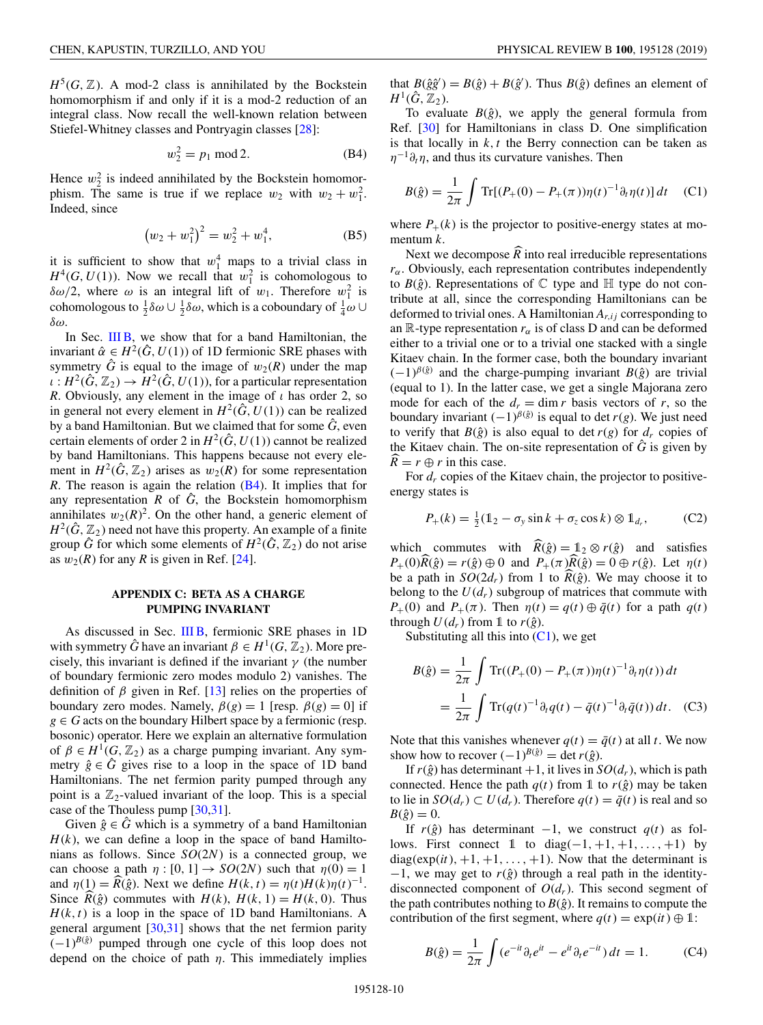<span id="page-9-0"></span> $H^5(G, \mathbb{Z})$ . A mod-2 class is annihilated by the Bockstein homomorphism if and only if it is a mod-2 reduction of an integral class. Now recall the well-known relation between Stiefel-Whitney classes and Pontryagin classes [\[28\]](#page-11-0):

$$
w_2^2 = p_1 \bmod 2. \tag{B4}
$$

Hence  $w_2^2$  is indeed annihilated by the Bockstein homomorphism. The same is true if we replace  $w_2$  with  $w_2 + w_1^2$ . Indeed, since

$$
(w_2 + w_1^2)^2 = w_2^2 + w_1^4, \tag{B5}
$$

it is sufficient to show that  $w_1^4$  maps to a trivial class in  $H^4(G, U(1))$ . Now we recall that  $w_1^2$  is cohomologous to  $\delta\omega/2$ , where  $\omega$  is an integral lift of  $w_1$ . Therefore  $w_1^2$  is cohomologous to  $\frac{1}{2}\delta\omega \cup \frac{1}{2}\delta\omega$ , which is a coboundary of  $\frac{1}{4}\omega \cup$ δω.

In Sec. [III B,](#page-5-0) we show that for a band Hamiltonian, the invariant  $\hat{\alpha} \in H^2(\hat{G}, U(1))$  of 1D fermionic SRE phases with symmetry  $\hat{G}$  is equal to the image of  $w_2(R)$  under the map  $\iota : H^2(\hat{G}, \mathbb{Z}_2) \to H^2(\hat{G}, U(1))$ , for a particular representation *R*. Obviously, any element in the image of  $\iota$  has order 2, so in general not every element in  $H^2(\hat{G}, U(1))$  can be realized by a band Hamiltonian. But we claimed that for some  $\hat{G}$ , even certain elements of order 2 in  $H^2(\hat{G}, U(1))$  cannot be realized by band Hamiltonians. This happens because not every element in  $H^2(\hat{G}, \mathbb{Z}_2)$  arises as  $w_2(R)$  for some representation *R*. The reason is again the relation (B4). It implies that for any representation  $R$  of  $\hat{G}$ , the Bockstein homomorphism annihilates  $w_2(R)^2$ . On the other hand, a generic element of  $H^2(\hat{G}, \mathbb{Z}_2)$  need not have this property. An example of a finite group  $\hat{G}$  for which some elements of  $H^2(\hat{G}, \mathbb{Z}_2)$  do not arise as  $w_2(R)$  for any *R* is given in Ref. [\[24\]](#page-11-0).

### **APPENDIX C: BETA AS A CHARGE PUMPING INVARIANT**

As discussed in Sec. [III B,](#page-5-0) fermionic SRE phases in 1D with symmetry  $\hat{G}$  have an invariant  $\beta \in H^1(G, \mathbb{Z}_2)$ . More precisely, this invariant is defined if the invariant  $\gamma$  (the number of boundary fermionic zero modes modulo 2) vanishes. The definition of  $\beta$  given in Ref. [\[13\]](#page-10-0) relies on the properties of boundary zero modes. Namely,  $\beta(g) = 1$  [resp.  $\beta(g) = 0$ ] if  $g \in G$  acts on the boundary Hilbert space by a fermionic (resp. bosonic) operator. Here we explain an alternative formulation of  $\beta \in H^1(G, \mathbb{Z}_2)$  as a charge pumping invariant. Any symmetry  $\hat{g} \in \hat{G}$  gives rise to a loop in the space of 1D band Hamiltonians. The net fermion parity pumped through any point is a  $\mathbb{Z}_2$ -valued invariant of the loop. This is a special case of the Thouless pump [\[30,31\]](#page-11-0).

Given  $\hat{g} \in \hat{G}$  which is a symmetry of a band Hamiltonian  $H(k)$ , we can define a loop in the space of band Hamiltonians as follows. Since *SO*(2*N*) is a connected group, we can choose a path  $\eta$  : [0, 1]  $\rightarrow$  *SO*(2*N*) such that  $\eta$ (0) = 1 and  $\eta(1) = \widehat{R}(\widehat{g})$ . Next we define  $H(k, t) = \eta(t)H(k)\eta(t)^{-1}$ . Since  $\hat{R}(\hat{g})$  commutes with  $H(k)$ ,  $H(k, 1) = H(k, 0)$ . Thus  $H(k, t)$  is a loop in the space of 1D band Hamiltonians. A general argument  $[30,31]$  shows that the net fermion parity  $(-1)^{B(\hat{g})}$  pumped through one cycle of this loop does not depend on the choice of path  $\eta$ . This immediately implies

that  $B(\hat{g}\hat{g}') = B(\hat{g}) + B(\hat{g}')$ . Thus  $B(\hat{g})$  defines an element of  $H^1(\hat{G}, \mathbb{Z}_2)$ .

To evaluate  $B(\hat{g})$ , we apply the general formula from Ref. [\[30\]](#page-11-0) for Hamiltonians in class D. One simplification is that locally in  $k$ ,  $t$  the Berry connection can be taken as  $\eta^{-1}\partial_t\eta$ , and thus its curvature vanishes. Then

$$
B(\hat{g}) = \frac{1}{2\pi} \int \text{Tr}[(P_+(0) - P_+(\pi))\eta(t)^{-1}\partial_t \eta(t)] dt \quad (C1)
$$

where  $P_+(k)$  is the projector to positive-energy states at momentum *k*.

Next we decompose  $R$  into real irreducible representations  $r_{\alpha}$ . Obviously, each representation contributes independently to  $B(\hat{g})$ . Representations of  $\mathbb C$  type and  $\mathbb H$  type do not contribute at all, since the corresponding Hamiltonians can be deformed to trivial ones. A Hamiltonian  $A_{r,ij}$  corresponding to an  $\mathbb R$ -type representation  $r_\alpha$  is of class D and can be deformed either to a trivial one or to a trivial one stacked with a single Kitaev chain. In the former case, both the boundary invariant  $(-1)^{\beta(\hat{g})}$  and the charge-pumping invariant *B*( $\hat{g}$ ) are trivial (equal to 1). In the latter case, we get a single Majorana zero mode for each of the  $d_r = \dim r$  basis vectors of r, so the boundary invariant  $(-1)^{\beta(\hat{g})}$  is equal to det *r*(*g*). We just need to verify that  $B(\hat{g})$  is also equal to det  $r(g)$  for  $d_r$  copies of the Kitaev chain. The on-site representation of  $\hat{G}$  is given by  $\widehat{R} = r \oplus r$  in this case.

For  $d_r$  copies of the Kitaev chain, the projector to positiveenergy states is

$$
P_+(k) = \frac{1}{2}(\mathbb{1}_2 - \sigma_y \sin k + \sigma_z \cos k) \otimes \mathbb{1}_{d_r},\tag{C2}
$$

which commutes with  $\widehat{R}(\hat{g}) = 1/2 \otimes r(\hat{g})$  and satisfies  $P_+(0)R(\hat{g}) = r(\hat{g}) \oplus 0$  and  $P_+(\pi)R(\hat{g}) = 0 \oplus r(\hat{g})$ . Let  $\eta(t)$ be a path in  $SO(2d_r)$  from 1 to  $R(\hat{g})$ . We may choose it to belong to the  $U(d_r)$  subgroup of matrices that commute with *P*<sub>+</sub>(0) and *P*<sub>+</sub>( $\pi$ ). Then  $\eta(t) = q(t) \oplus \overline{q}(t)$  for a path  $q(t)$ through  $U(d_r)$  from 1 to  $r(\hat{g})$ .

Substituting all this into  $(C1)$ , we get

$$
B(\hat{g}) = \frac{1}{2\pi} \int \text{Tr}((P_+(0) - P_+(\pi))\eta(t)^{-1}\partial_t \eta(t)) dt
$$
  
= 
$$
\frac{1}{2\pi} \int \text{Tr}(q(t)^{-1}\partial_t q(t) - \bar{q}(t)^{-1}\partial_t \bar{q}(t)) dt.
$$
 (C3)

Note that this vanishes whenever  $q(t) = \bar{q}(t)$  at all *t*. We now show how to recover  $(-1)^{B(\hat{g})} = \det r(\hat{g})$ .

If  $r(\hat{g})$  has determinant  $+1$ , it lives in  $SO(d_r)$ , which is path connected. Hence the path  $q(t)$  from 1 to  $r(\hat{g})$  may be taken to lie in *SO*( $d_r$ ) ⊂ *U*( $d_r$ ). Therefore  $q(t) = \bar{q}(t)$  is real and so  $B(\hat{g}) = 0.$ 

If  $r(\hat{g})$  has determinant −1, we construct  $q(t)$  as follows. First connect 1 to diag( $-1, +1, +1, \ldots, +1$ ) by diag( $exp(it)$ ,  $+1$ ,  $+1$ , ...,  $+1$ ). Now that the determinant is  $-1$ , we may get to  $r(\hat{g})$  through a real path in the identitydisconnected component of  $O(d_r)$ . This second segment of the path contributes nothing to  $B(\hat{g})$ . It remains to compute the contribution of the first segment, where  $q(t) = \exp(it) \oplus 1$ :

$$
B(\hat{g}) = \frac{1}{2\pi} \int (e^{-it} \partial_t e^{it} - e^{it} \partial_t e^{-it}) dt = 1.
$$
 (C4)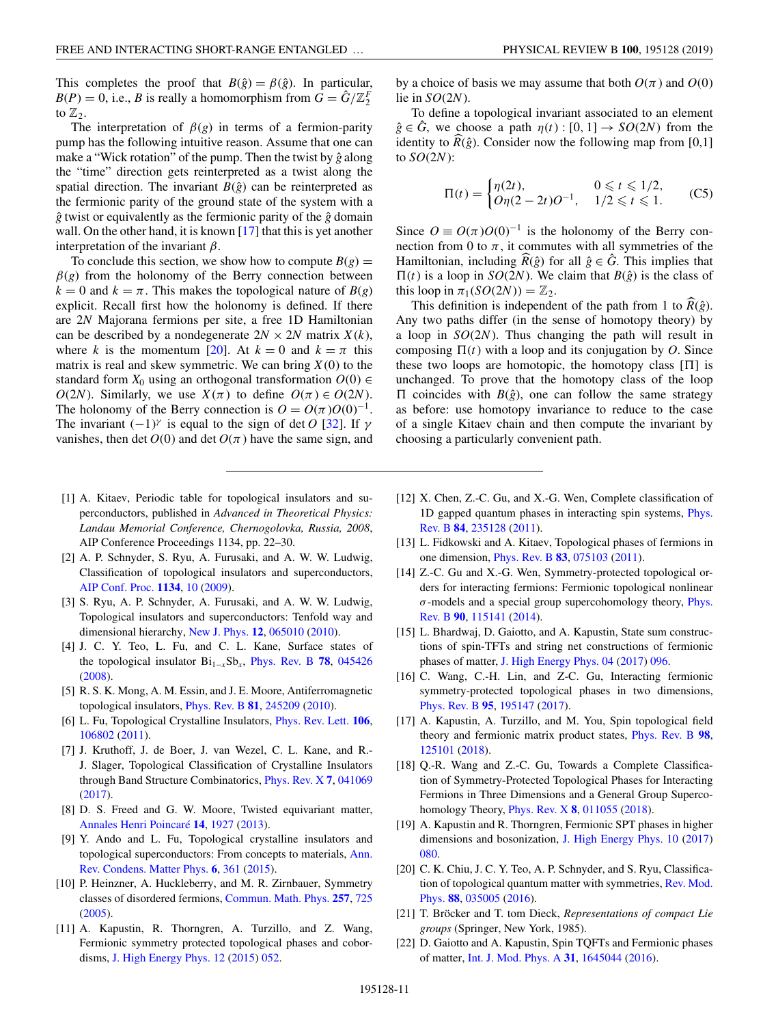<span id="page-10-0"></span>This completes the proof that  $B(\hat{g}) = \beta(\hat{g})$ . In particular,  $B(P) = 0$ , i.e., *B* is really a homomorphism from  $G = \hat{G}/\mathbb{Z}_2^F$ to  $\mathbb{Z}_2$ .

The interpretation of  $\beta(g)$  in terms of a fermion-parity pump has the following intuitive reason. Assume that one can make a "Wick rotation" of the pump. Then the twist by  $\hat{g}$  along the "time" direction gets reinterpreted as a twist along the spatial direction. The invariant  $B(\hat{g})$  can be reinterpreted as the fermionic parity of the ground state of the system with a  $\hat{g}$  twist or equivalently as the fermionic parity of the  $\hat{g}$  domain wall. On the other hand, it is known  $[17]$  that this is yet another interpretation of the invariant  $\beta$ .

To conclude this section, we show how to compute  $B(g)$  =  $\beta$ (g) from the holonomy of the Berry connection between  $k = 0$  and  $k = \pi$ . This makes the topological nature of  $B(g)$ explicit. Recall first how the holonomy is defined. If there are 2*N* Majorana fermions per site, a free 1D Hamiltonian can be described by a nondegenerate  $2N \times 2N$  matrix  $X(k)$ , where *k* is the momentum [20]. At  $k = 0$  and  $k = \pi$  this matrix is real and skew symmetric. We can bring  $X(0)$  to the standard form  $X_0$  using an orthogonal transformation  $O(0) \in$ *O*(2*N*). Similarly, we use  $X(\pi)$  to define  $O(\pi) \in O(2N)$ . The holonomy of the Berry connection is  $O = O(\pi)O(0)^{-1}$ . The invariant  $(-1)^{\gamma}$  is equal to the sign of det *O* [\[32\]](#page-11-0). If  $\gamma$ vanishes, then det  $O(0)$  and det  $O(\pi)$  have the same sign, and

- [1] A. Kitaev, Periodic table for topological insulators and superconductors, published in *Advanced in Theoretical Physics: Landau Memorial Conference, Chernogolovka, Russia, 2008*, AIP Conference Proceedings 1134, pp. 22–30.
- [2] A. P. Schnyder, S. Ryu, A. Furusaki, and A. W. W. Ludwig, Classification of topological insulators and superconductors, [AIP Conf. Proc.](https://doi.org/10.1063/1.3149481) **[1134](https://doi.org/10.1063/1.3149481)**, [10](https://doi.org/10.1063/1.3149481) [\(2009\)](https://doi.org/10.1063/1.3149481).
- [3] S. Ryu, A. P. Schnyder, A. Furusaki, and A. W. W. Ludwig, Topological insulators and superconductors: Tenfold way and dimensional hierarchy, [New J. Phys.](https://doi.org/10.1088/1367-2630/12/6/065010) **[12](https://doi.org/10.1088/1367-2630/12/6/065010)**, [065010](https://doi.org/10.1088/1367-2630/12/6/065010) [\(2010\)](https://doi.org/10.1088/1367-2630/12/6/065010).
- [4] J. C. Y. Teo, L. Fu, and C. L. Kane, Surface states of the topological insulator  $Bi_{1-x}Sb_x$ , [Phys. Rev. B](https://doi.org/10.1103/PhysRevB.78.045426) [78](https://doi.org/10.1103/PhysRevB.78.045426), [045426](https://doi.org/10.1103/PhysRevB.78.045426) [\(2008\)](https://doi.org/10.1103/PhysRevB.78.045426).
- [5] R. S. K. Mong, A. M. Essin, and J. E. Moore, Antiferromagnetic topological insulators, [Phys. Rev. B](https://doi.org/10.1103/PhysRevB.81.245209) **[81](https://doi.org/10.1103/PhysRevB.81.245209)**, [245209](https://doi.org/10.1103/PhysRevB.81.245209) [\(2010\)](https://doi.org/10.1103/PhysRevB.81.245209).
- [6] L. Fu, Topological Crystalline Insulators, [Phys. Rev. Lett.](https://doi.org/10.1103/PhysRevLett.106.106802) **[106](https://doi.org/10.1103/PhysRevLett.106.106802)**, [106802](https://doi.org/10.1103/PhysRevLett.106.106802) [\(2011\)](https://doi.org/10.1103/PhysRevLett.106.106802).
- [7] J. Kruthoff, J. de Boer, J. van Wezel, C. L. Kane, and R.- J. Slager, Topological Classification of Crystalline Insulators through Band Structure Combinatorics, [Phys. Rev. X](https://doi.org/10.1103/PhysRevX.7.041069) **[7](https://doi.org/10.1103/PhysRevX.7.041069)**, [041069](https://doi.org/10.1103/PhysRevX.7.041069) [\(2017\)](https://doi.org/10.1103/PhysRevX.7.041069).
- [8] D. S. Freed and G. W. Moore, Twisted equivariant matter, [Annales Henri Poincaré](https://doi.org/10.1007/s00023-013-0236-x) **[14](https://doi.org/10.1007/s00023-013-0236-x)**, [1927](https://doi.org/10.1007/s00023-013-0236-x) [\(2013\)](https://doi.org/10.1007/s00023-013-0236-x).
- [9] Y. Ando and L. Fu, Topological crystalline insulators and [topological superconductors: From concepts to materials,](https://doi.org/10.1146/annurev-conmatphys-031214-014501) Ann. Rev. Condens. Matter Phys. **[6](https://doi.org/10.1146/annurev-conmatphys-031214-014501)**, [361](https://doi.org/10.1146/annurev-conmatphys-031214-014501) [\(2015\)](https://doi.org/10.1146/annurev-conmatphys-031214-014501).
- [10] P. Heinzner, A. Huckleberry, and M. R. Zirnbauer, Symmetry classes of disordered fermions, [Commun. Math. Phys.](https://doi.org/10.1007/s00220-005-1330-9) **[257](https://doi.org/10.1007/s00220-005-1330-9)**, [725](https://doi.org/10.1007/s00220-005-1330-9) [\(2005\)](https://doi.org/10.1007/s00220-005-1330-9).
- [11] A. Kapustin, R. Thorngren, A. Turzillo, and Z. Wang, Fermionic symmetry protected topological phases and cobordisms, [J. High Energy Phys. 12](https://doi.org/10.1007/JHEP12(2015)052) [\(2015\)](https://doi.org/10.1007/JHEP12(2015)052) [052.](https://doi.org/10.1007/JHEP12(2015)052)

by a choice of basis we may assume that both  $O(\pi)$  and  $O(0)$ lie in *SO*(2*N*).

To define a topological invariant associated to an element  $\hat{g} \in \hat{G}$ , we choose a path  $\eta(t) : [0, 1] \rightarrow SO(2N)$  from the identity to  $R(\hat{g})$ . Consider now the following map from [0,1] to *SO*(2*N*):

$$
\Pi(t) = \begin{cases} \eta(2t), & 0 \le t \le 1/2, \\ O\eta(2-2t)O^{-1}, & 1/2 \le t \le 1. \end{cases}
$$
 (C5)

Since  $O = O(\pi)O(0)^{-1}$  is the holonomy of the Berry connection from 0 to  $\pi$ , it commutes with all symmetries of the Hamiltonian, including  $\widehat{R}(\hat{g})$  for all  $\hat{g} \in \widehat{G}$ . This implies that  $\Pi(t)$  is a loop in *SO*(2*N*). We claim that *B*( $\hat{g}$ ) is the class of this loop in  $\pi_1(SO(2N)) = \mathbb{Z}_2$ .

This definition is independent of the path from 1 to  $R(\hat{g})$ . Any two paths differ (in the sense of homotopy theory) by a loop in *SO*(2*N*). Thus changing the path will result in composing  $\Pi(t)$  with a loop and its conjugation by *O*. Since these two loops are homotopic, the homotopy class  $[\Pi]$  is unchanged. To prove that the homotopy class of the loop  $\Pi$  coincides with  $B(\hat{g})$ , one can follow the same strategy as before: use homotopy invariance to reduce to the case of a single Kitaev chain and then compute the invariant by choosing a particularly convenient path.

- [12] X. Chen, Z.-C. Gu, and X.-G. Wen, Complete classification of [1D gapped quantum phases in interacting spin systems,](https://doi.org/10.1103/PhysRevB.84.235128) Phys. Rev. B **[84](https://doi.org/10.1103/PhysRevB.84.235128)**, [235128](https://doi.org/10.1103/PhysRevB.84.235128) [\(2011\)](https://doi.org/10.1103/PhysRevB.84.235128).
- [13] L. Fidkowski and A. Kitaev, Topological phases of fermions in one dimension, [Phys. Rev. B](https://doi.org/10.1103/PhysRevB.83.075103) **[83](https://doi.org/10.1103/PhysRevB.83.075103)**, [075103](https://doi.org/10.1103/PhysRevB.83.075103) [\(2011\)](https://doi.org/10.1103/PhysRevB.83.075103).
- [14] Z.-C. Gu and X.-G. Wen, Symmetry-protected topological orders for interacting fermions: Fermionic topological nonlinear  $\sigma$ [-models and a special group supercohomology theory,](https://doi.org/10.1103/PhysRevB.90.115141) Phys. Rev. B **[90](https://doi.org/10.1103/PhysRevB.90.115141)**, [115141](https://doi.org/10.1103/PhysRevB.90.115141) [\(2014\)](https://doi.org/10.1103/PhysRevB.90.115141).
- [15] L. Bhardwaj, D. Gaiotto, and A. Kapustin, State sum constructions of spin-TFTs and string net constructions of fermionic phases of matter, [J. High Energy Phys. 04](https://doi.org/10.1007/JHEP04(2017)096) [\(2017\)](https://doi.org/10.1007/JHEP04(2017)096) [096.](https://doi.org/10.1007/JHEP04(2017)096)
- [16] C. Wang, C.-H. Lin, and Z-C. Gu, Interacting fermionic symmetry-protected topological phases in two dimensions, [Phys. Rev. B](https://doi.org/10.1103/PhysRevB.95.195147) **[95](https://doi.org/10.1103/PhysRevB.95.195147)**, [195147](https://doi.org/10.1103/PhysRevB.95.195147) [\(2017\)](https://doi.org/10.1103/PhysRevB.95.195147).
- [17] A. Kapustin, A. Turzillo, and M. You, Spin topological field theory and fermionic matrix product states, [Phys. Rev. B](https://doi.org/10.1103/PhysRevB.98.125101) **[98](https://doi.org/10.1103/PhysRevB.98.125101)**, [125101](https://doi.org/10.1103/PhysRevB.98.125101) [\(2018\)](https://doi.org/10.1103/PhysRevB.98.125101).
- [18] O.-R. Wang and Z.-C. Gu, Towards a Complete Classification of Symmetry-Protected Topological Phases for Interacting Fermions in Three Dimensions and a General Group Supercohomology Theory, [Phys. Rev. X](https://doi.org/10.1103/PhysRevX.8.011055) **[8](https://doi.org/10.1103/PhysRevX.8.011055)**, [011055](https://doi.org/10.1103/PhysRevX.8.011055) [\(2018\)](https://doi.org/10.1103/PhysRevX.8.011055).
- [19] A. Kapustin and R. Thorngren, Fermionic SPT phases in higher dimensions and bosonization, [J. High Energy Phys. 10](https://doi.org/10.1007/JHEP10(2017)080) [\(2017\)](https://doi.org/10.1007/JHEP10(2017)080) [080.](https://doi.org/10.1007/JHEP10(2017)080)
- [20] C. K. Chiu, J. C. Y. Teo, A. P. Schnyder, and S. Ryu, Classifica[tion of topological quantum matter with symmetries,](https://doi.org/10.1103/RevModPhys.88.035005) Rev. Mod. Phys. **[88](https://doi.org/10.1103/RevModPhys.88.035005)**, [035005](https://doi.org/10.1103/RevModPhys.88.035005) [\(2016\)](https://doi.org/10.1103/RevModPhys.88.035005).
- [21] T. Bröcker and T. tom Dieck, *Representations of compact Lie groups* (Springer, New York, 1985).
- [22] D. Gaiotto and A. Kapustin, Spin TQFTs and Fermionic phases of matter, [Int. J. Mod. Phys. A](https://doi.org/10.1142/S0217751X16450445) **[31](https://doi.org/10.1142/S0217751X16450445)**, [1645044](https://doi.org/10.1142/S0217751X16450445) [\(2016\)](https://doi.org/10.1142/S0217751X16450445).